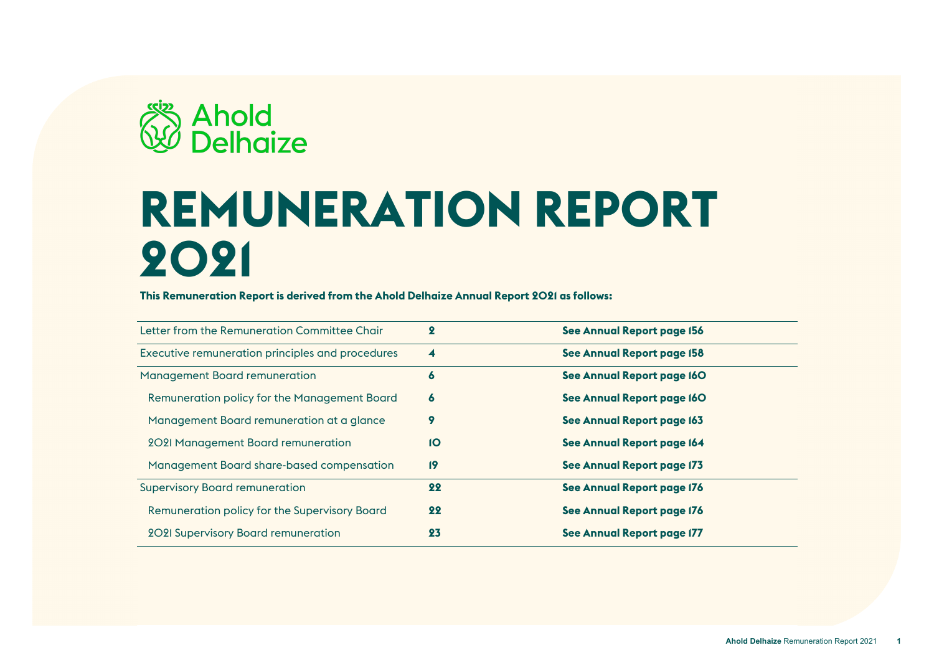

# **REMUNERATION REPORT 2021**

**This Remuneration Report is derived from the Ahold Delhaize Annual Report 2021 as follows:**

| Letter from the Remuneration Committee Chair     | $\boldsymbol{2}$ | See Annual Report page 156 |
|--------------------------------------------------|------------------|----------------------------|
| Executive remuneration principles and procedures | 4                | See Annual Report page 158 |
| <b>Management Board remuneration</b>             | 6                | See Annual Report page I6O |
| Remuneration policy for the Management Board     | 6                | See Annual Report page I6O |
| Management Board remuneration at a glance        | 9                | See Annual Report page 163 |
| 2021 Management Board remuneration               | 1O               | See Annual Report page 164 |
| Management Board share-based compensation        | 19               | See Annual Report page 173 |
| <b>Supervisory Board remuneration</b>            | 22               | See Annual Report page 176 |
| Remuneration policy for the Supervisory Board    | 22               | See Annual Report page 176 |
| <b>2021 Supervisory Board remuneration</b>       | 23               | See Annual Report page 177 |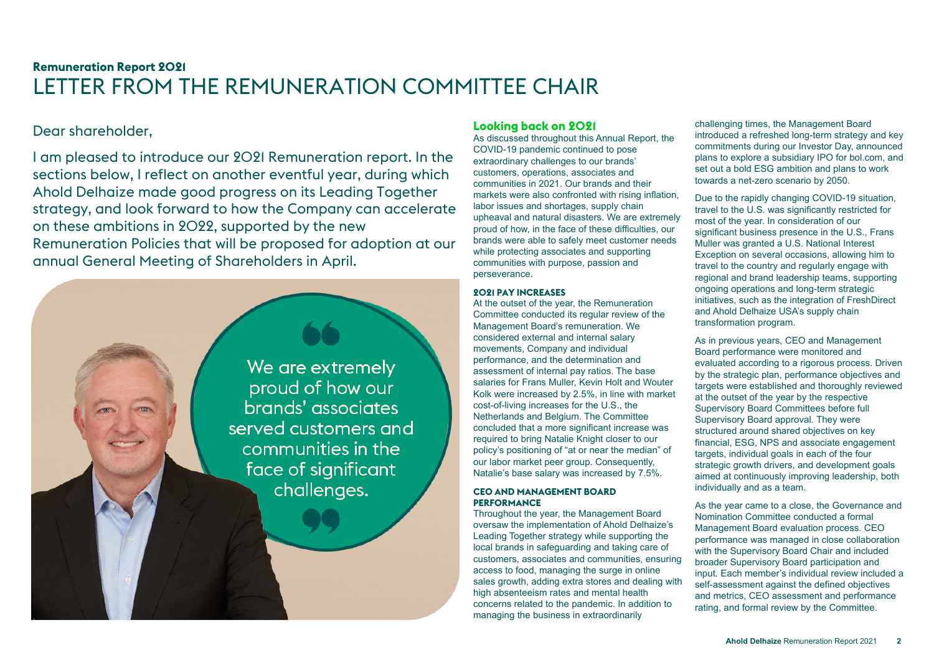# <span id="page-1-0"></span>**Remuneration Report 2021** LETTER FROM THE REMUNERATION COMMITTEE CHAIR

# Dear shareholder,

I am pleased to introduce our 2021 Remuneration report. In the sections below, I reflect on another eventful year, during which Ahold Delhaize made good progress on its Leading Together strategy, and look forward to how the Company can accelerate on these ambitions in 2022, supported by the new Remuneration Policies that will be proposed for adoption at our annual General Meeting of Shareholders in April.



# **Looking back on 2021**

As discussed throughout this Annual Report, the COVID-19 pandemic continued to pose extraordinary challenges to our brands' customers, operations, associates and communities in 2021. Our brands and their markets were also confronted with rising inflation, labor issues and shortages, supply chain upheaval and natural disasters. We are extremely proud of how, in the face of these difficulties, our brands were able to safely meet customer needs while protecting associates and supporting communities with purpose, passion and perseverance.

## **2021 PAY INCREASES**

At the outset of the year, the Remuneration Committee conducted its regular review of the Management Board's remuneration. We considered external and internal salary movements, Company and individual performance, and the determination and assessment of internal pay ratios. The base salaries for Frans Muller, Kevin Holt and Wouter Kolk were increased by 2.5%, in line with market cost-of-living increases for the U.S., the Netherlands and Belgium. The Committee concluded that a more significant increase was required to bring Natalie Knight closer to our policy's positioning of "at or near the median" of our labor market peer group. Consequently, Natalie's base salary was increased by 7.5%.

#### **CEO AND MANAGEMENT BOARD PERFORMANCE**

Throughout the year, the Management Board oversaw the implementation of Ahold Delhaize's Leading Together strategy while supporting the local brands in safeguarding and taking care of customers, associates and communities, ensuring access to food, managing the surge in online sales growth, adding extra stores and dealing with high absenteeism rates and mental health concerns related to the pandemic. In addition to managing the business in extraordinarily

challenging times, the Management Board introduced a refreshed long-term strategy and key commitments during our Investor Day, announced plans to explore a subsidiary IPO for bol.com, and set out a bold ESG ambition and plans to work towards a net-zero scenario by 2050.

Due to the rapidly changing COVID-19 situation, travel to the U.S. was significantly restricted for most of the year. In consideration of our significant business presence in the U.S., Frans Muller was granted a U.S. National Interest Exception on several occasions, allowing him to travel to the country and regularly engage with regional and brand leadership teams, supporting ongoing operations and long-term strategic initiatives, such as the integration of FreshDirect and Ahold Delhaize USA's supply chain transformation program.

As in previous years, CEO and Management Board performance were monitored and evaluated according to a rigorous process. Driven by the strategic plan, performance objectives and targets were established and thoroughly reviewed at the outset of the year by the respective Supervisory Board Committees before full Supervisory Board approval. They were structured around shared objectives on key financial, ESG, NPS and associate engagement targets, individual goals in each of the four strategic growth drivers, and development goals aimed at continuously improving leadership, both individually and as a team.

As the year came to a close, the Governance and Nomination Committee conducted a formal Management Board evaluation process. CEO performance was managed in close collaboration with the Supervisory Board Chair and included broader Supervisory Board participation and input. Each member's individual review included a self-assessment against the defined objectives and metrics, CEO assessment and performance rating, and formal review by the Committee.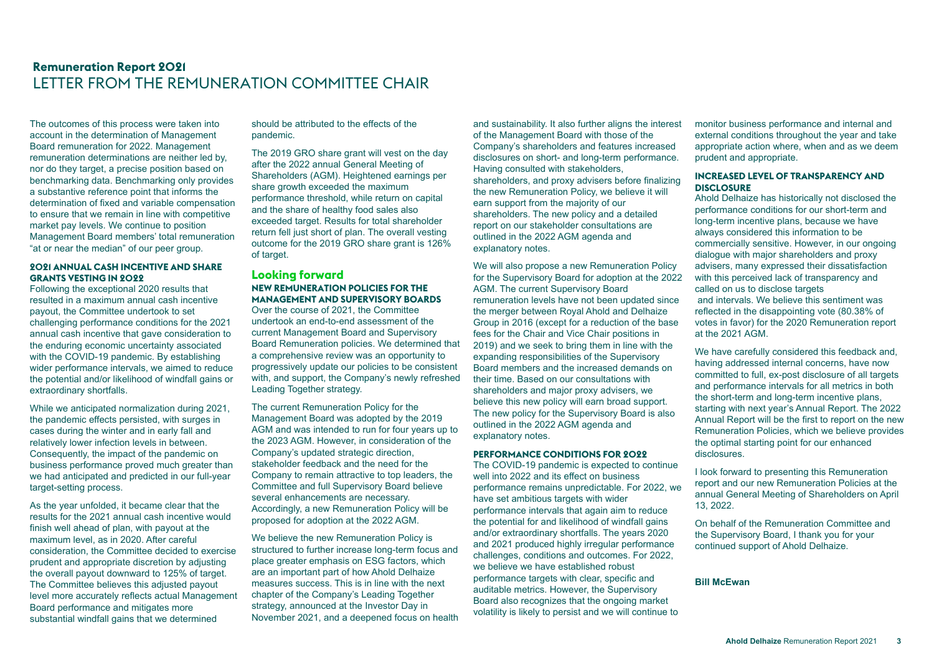# **Remuneration Report 2021** LETTER FROM THE REMUNERATION COMMITTEE CHAIR

The outcomes of this process were taken into account in the determination of Management Board remuneration for 2022. Management remuneration determinations are neither led by, nor do they target, a precise position based on benchmarking data. Benchmarking only provides a substantive reference point that informs the determination of fixed and variable compensation to ensure that we remain in line with competitive market pay levels. We continue to position Management Board members' total remuneration "at or near the median" of our peer group.

#### **2021 ANNUAL CASH INCENTIVE AND SHARE GRANTS VESTING IN 2022**

Following the exceptional 2020 results that resulted in a maximum annual cash incentive payout, the Committee undertook to set challenging performance conditions for the 2021 annual cash incentive that gave consideration to the enduring economic uncertainty associated with the COVID-19 pandemic. By establishing wider performance intervals, we aimed to reduce the potential and/or likelihood of windfall gains or extraordinary shortfalls.

While we anticipated normalization during 2021, the pandemic effects persisted, with surges in cases during the winter and in early fall and relatively lower infection levels in between. Consequently, the impact of the pandemic on business performance proved much greater than we had anticipated and predicted in our full-year target-setting process.

As the year unfolded, it became clear that the results for the 2021 annual cash incentive would finish well ahead of plan, with payout at the maximum level, as in 2020. After careful consideration, the Committee decided to exercise prudent and appropriate discretion by adjusting the overall payout downward to 125% of target. The Committee believes this adjusted payout level more accurately reflects actual Management Board performance and mitigates more substantial windfall gains that we determined

should be attributed to the effects of the pandemic.

The 2019 GRO share grant will vest on the day after the 2022 annual General Meeting of Shareholders (AGM). Heightened earnings per share growth exceeded the maximum performance threshold, while return on capital and the share of healthy food sales also exceeded target. Results for total shareholder return fell just short of plan. The overall vesting outcome for the 2019 GRO share grant is 126% of target.

#### **Looking forward NEW REMUNERATION POLICIES FOR THE MANAGEMENT AND SUPERVISORY BOARDS**

Over the course of 2021, the Committee undertook an end-to-end assessment of the current Management Board and Supervisory Board Remuneration policies. We determined that a comprehensive review was an opportunity to progressively update our policies to be consistent with, and support, the Company's newly refreshed Leading Together strategy.

The current Remuneration Policy for the Management Board was adopted by the 2019 AGM and was intended to run for four years up to the 2023 AGM. However, in consideration of the Company's updated strategic direction, stakeholder feedback and the need for the Company to remain attractive to top leaders, the Committee and full Supervisory Board believe several enhancements are necessary. Accordingly, a new Remuneration Policy will be proposed for adoption at the 2022 AGM.

We believe the new Remuneration Policy is structured to further increase long-term focus and place greater emphasis on ESG factors, which are an important part of how Ahold Delhaize measures success. This is in line with the next chapter of the Company's Leading Together strategy, announced at the Investor Day in November 2021, and a deepened focus on health and sustainability. It also further aligns the interest of the Management Board with those of the Company's shareholders and features increased disclosures on short- and long-term performance. Having consulted with stakeholders, shareholders, and proxy advisers before finalizing the new Remuneration Policy, we believe it will earn support from the majority of our shareholders. The new policy and a detailed report on our stakeholder consultations are outlined in the 2022 AGM agenda and explanatory notes.

We will also propose a new Remuneration Policy for the Supervisory Board for adoption at the 2022 AGM. The current Supervisory Board remuneration levels have not been updated since the merger between Royal Ahold and Delhaize Group in 2016 (except for a reduction of the base fees for the Chair and Vice Chair positions in 2019) and we seek to bring them in line with the expanding responsibilities of the Supervisory Board members and the increased demands on their time. Based on our consultations with shareholders and major proxy advisers, we believe this new policy will earn broad support. The new policy for the Supervisory Board is also outlined in the 2022 AGM agenda and explanatory notes.

#### **PERFORMANCE CONDITIONS FOR 2022**

The COVID-19 pandemic is expected to continue well into 2022 and its effect on business performance remains unpredictable. For 2022, we have set ambitious targets with wider performance intervals that again aim to reduce the potential for and likelihood of windfall gains and/or extraordinary shortfalls. The years 2020 and 2021 produced highly irregular performance challenges, conditions and outcomes. For 2022, we believe we have established robust performance targets with clear, specific and auditable metrics. However, the Supervisory Board also recognizes that the ongoing market volatility is likely to persist and we will continue to

monitor business performance and internal and external conditions throughout the year and take appropriate action where, when and as we deem prudent and appropriate.

#### **INCREASED LEVEL OF TRANSPARENCY AND DISCLOSURE**

Ahold Delhaize has historically not disclosed the performance conditions for our short-term and long-term incentive plans, because we have always considered this information to be commercially sensitive. However, in our ongoing dialogue with major shareholders and proxy advisers, many expressed their dissatisfaction with this perceived lack of transparency and called on us to disclose targets and intervals. We believe this sentiment was reflected in the disappointing vote (80.38% of votes in favor) for the 2020 Remuneration report at the 2021 AGM.

We have carefully considered this feedback and, having addressed internal concerns, have now committed to full, ex-post disclosure of all targets and performance intervals for all metrics in both the short-term and long-term incentive plans, starting with next year's Annual Report. The 2022 Annual Report will be the first to report on the new Remuneration Policies, which we believe provides the optimal starting point for our enhanced disclosures.

I look forward to presenting this Remuneration report and our new Remuneration Policies at the annual General Meeting of Shareholders on April 13, 2022.

On behalf of the Remuneration Committee and the Supervisory Board, I thank you for your continued support of Ahold Delhaize.

#### **Bill McEwan**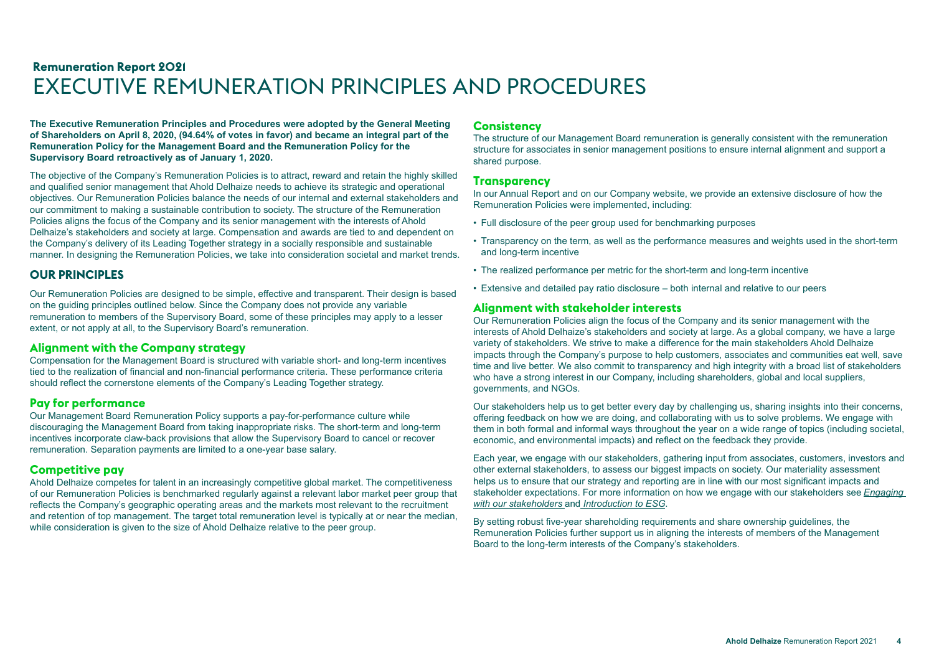# <span id="page-3-0"></span>**Remuneration Report 2021** EXECUTIVE REMUNERATION PRINCIPLES AND PROCEDURES

**The Executive Remuneration Principles and Procedures were adopted by the General Meeting of Shareholders on April 8, 2020, (94.64% of votes in favor) and became an integral part of the Remuneration Policy for the Management Board and the Remuneration Policy for the Supervisory Board retroactively as of January 1, 2020.**

The objective of the Company's Remuneration Policies is to attract, reward and retain the highly skilled and qualified senior management that Ahold Delhaize needs to achieve its strategic and operational objectives. Our Remuneration Policies balance the needs of our internal and external stakeholders and our commitment to making a sustainable contribution to society. The structure of the Remuneration Policies aligns the focus of the Company and its senior management with the interests of Ahold Delhaize's stakeholders and society at large. Compensation and awards are tied to and dependent on the Company's delivery of its Leading Together strategy in a socially responsible and sustainable manner. In designing the Remuneration Policies, we take into consideration societal and market trends.

## **OUR PRINCIPLES**

Our Remuneration Policies are designed to be simple, effective and transparent. Their design is based on the guiding principles outlined below. Since the Company does not provide any variable remuneration to members of the Supervisory Board, some of these principles may apply to a lesser extent, or not apply at all, to the Supervisory Board's remuneration.

#### **Alignment with the Company strategy**

Compensation for the Management Board is structured with variable short- and long-term incentives tied to the realization of financial and non-financial performance criteria. These performance criteria should reflect the cornerstone elements of the Company's Leading Together strategy.

#### **Pay for performance**

Our Management Board Remuneration Policy supports a pay-for-performance culture while discouraging the Management Board from taking inappropriate risks. The short-term and long-term incentives incorporate claw-back provisions that allow the Supervisory Board to cancel or recover remuneration. Separation payments are limited to a one-year base salary.

# **Competitive pay**

Ahold Delhaize competes for talent in an increasingly competitive global market. The competitiveness of our Remuneration Policies is benchmarked regularly against a relevant labor market peer group that reflects the Company's geographic operating areas and the markets most relevant to the recruitment and retention of top management. The target total remuneration level is typically at or near the median, while consideration is given to the size of Ahold Delhaize relative to the peer group.

## **Consistency**

The structure of our Management Board remuneration is generally consistent with the remuneration structure for associates in senior management positions to ensure internal alignment and support a shared purpose.

#### **Transparency**

In our Annual Report and on our Company website, we provide an extensive disclosure of how the Remuneration Policies were implemented, including:

- Full disclosure of the peer group used for benchmarking purposes
- Transparency on the term, as well as the performance measures and weights used in the short-term and long-term incentive
- The realized performance per metric for the short-term and long-term incentive
- Extensive and detailed pay ratio disclosure both internal and relative to our peers

## **Alignment with stakeholder interests**

Our Remuneration Policies align the focus of the Company and its senior management with the interests of Ahold Delhaize's stakeholders and society at large. As a global company, we have a large variety of stakeholders. We strive to make a difference for the main stakeholders Ahold Delhaize impacts through the Company's purpose to help customers, associates and communities eat well, save time and live better. We also commit to transparency and high integrity with a broad list of stakeholders who have a strong interest in our Company, including shareholders, global and local suppliers, governments, and NGOs.

Our stakeholders help us to get better every day by challenging us, sharing insights into their concerns, offering feedback on how we are doing, and collaborating with us to solve problems. We engage with them in both formal and informal ways throughout the year on a wide range of topics (including societal, economic, and environmental impacts) and reflect on the feedback they provide.

Each year, we engage with our stakeholders, gathering input from associates, customers, investors and other external stakeholders, to assess our biggest impacts on society. Our materiality assessment helps us to ensure that our strategy and reporting are in line with our most significant impacts and stakeholder expectations. For more information on how we engage with our stakeholders see *Engaging with our stakeholders* and *Introduction to ESG*.

By setting robust five-year shareholding requirements and share ownership guidelines, the Remuneration Policies further support us in aligning the interests of members of the Management Board to the long-term interests of the Company's stakeholders.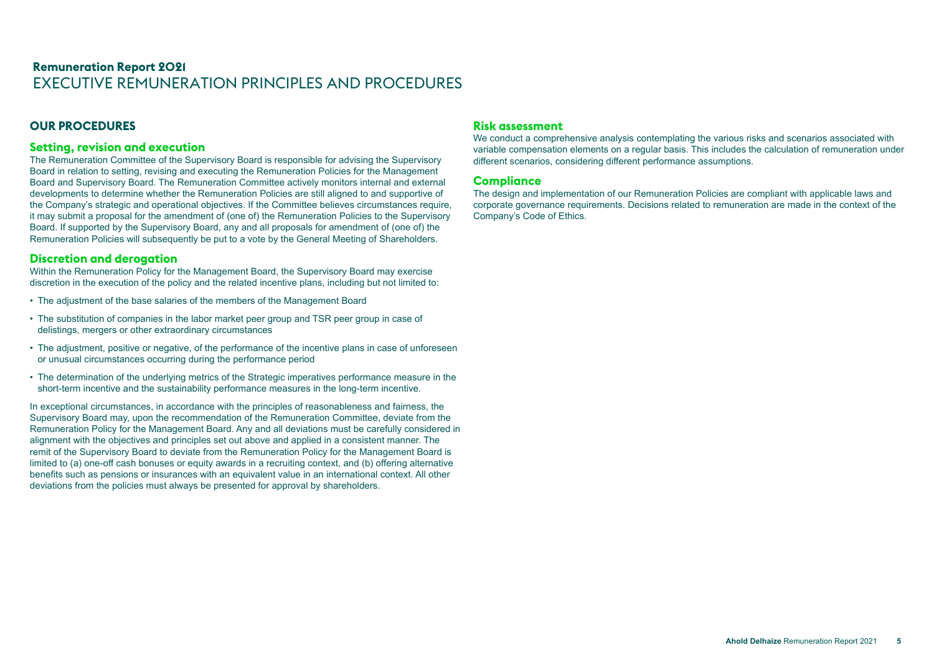# **Remuneration Report 2021** EXECUTIVE REMUNERATION PRINCIPLES AND PROCEDURES

# **OUR PROCEDURES**

#### **Setting, revision and execution**

The Remuneration Committee of the Supervisory Board is responsible for advising the Supervisory Board in relation to setting, revising and executing the Remuneration Policies for the Management Board and Supervisory Board. The Remuneration Committee actively monitors internal and external developments to determine whether the Remuneration Policies are still aligned to and supportive of the Company's strategic and operational objectives. If the Committee believes circumstances require, it may submit a proposal for the amendment of (one of) the Remuneration Policies to the Supervisory Board. If supported by the Supervisory Board, any and all proposals for amendment of (one of) the Remuneration Policies will subsequently be put to a vote by the General Meeting of Shareholders.

#### **Discretion and derogation**

Within the Remuneration Policy for the Management Board, the Supervisory Board may exercise discretion in the execution of the policy and the related incentive plans, including but not limited to:

- The adjustment of the base salaries of the members of the Management Board
- The substitution of companies in the labor market peer group and TSR peer group in case of delistings, mergers or other extraordinary circumstances
- The adjustment, positive or negative, of the performance of the incentive plans in case of unforeseen or unusual circumstances occurring during the performance period
- The determination of the underlying metrics of the Strategic imperatives performance measure in the short-term incentive and the sustainability performance measures in the long-term incentive.

In exceptional circumstances, in accordance with the principles of reasonableness and fairness, the Supervisory Board may, upon the recommendation of the Remuneration Committee, deviate from the Remuneration Policy for the Management Board. Any and all deviations must be carefully considered in alignment with the objectives and principles set out above and applied in a consistent manner. The remit of the Supervisory Board to deviate from the Remuneration Policy for the Management Board is limited to (a) one-off cash bonuses or equity awards in a recruiting context, and (b) offering alternative benefits such as pensions or insurances with an equivalent value in an international context. All other deviations from the policies must always be presented for approval by shareholders.

#### **Risk assessment**

We conduct a comprehensive analysis contemplating the various risks and scenarios associated with variable compensation elements on a regular basis. This includes the calculation of remuneration under different scenarios, considering different performance assumptions.

#### **Compliance**

The design and implementation of our Remuneration Policies are compliant with applicable laws and corporate governance requirements. Decisions related to remuneration are made in the context of the Company's Code of Ethics.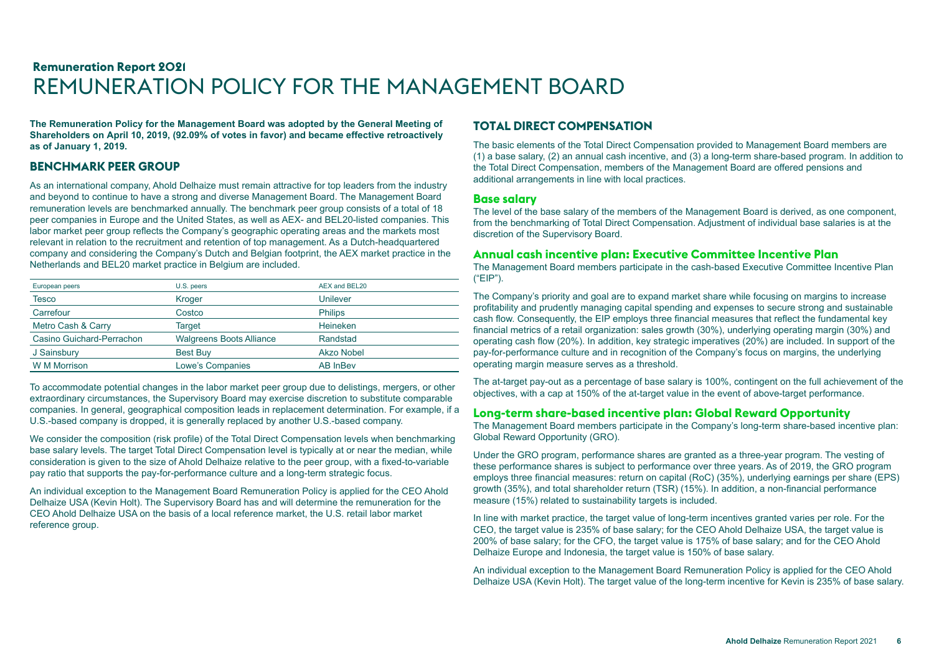# <span id="page-5-0"></span>**Remuneration Report 2021** REMUNERATION POLICY FOR THE MANAGEMENT BOARD

**The Remuneration Policy for the Management Board was adopted by the General Meeting of Shareholders on April 10, 2019, (92.09% of votes in favor) and became effective retroactively as of January 1, 2019.**

# **BENCHMARK PEER GROUP**

As an international company, Ahold Delhaize must remain attractive for top leaders from the industry and beyond to continue to have a strong and diverse Management Board. The Management Board remuneration levels are benchmarked annually. The benchmark peer group consists of a total of 18 peer companies in Europe and the United States, as well as AEX- and BEL20-listed companies. This labor market peer group reflects the Company's geographic operating areas and the markets most relevant in relation to the recruitment and retention of top management. As a Dutch-headquartered company and considering the Company's Dutch and Belgian footprint, the AEX market practice in the Netherlands and BEL20 market practice in Belgium are included.

| European peers            | U.S. peers                      | AEX and BEL20   |
|---------------------------|---------------------------------|-----------------|
| Tesco                     | Kroger                          | Unilever        |
| Carrefour                 | Costco                          | <b>Philips</b>  |
| Metro Cash & Carry        | Target                          | Heineken        |
| Casino Guichard-Perrachon | <b>Walgreens Boots Alliance</b> | Randstad        |
| J Sainsbury               | <b>Best Buy</b>                 | Akzo Nobel      |
| <b>W</b> M Morrison       | <b>Lowe's Companies</b>         | <b>AB InBev</b> |

To accommodate potential changes in the labor market peer group due to delistings, mergers, or other extraordinary circumstances, the Supervisory Board may exercise discretion to substitute comparable companies. In general, geographical composition leads in replacement determination. For example, if a U.S.-based company is dropped, it is generally replaced by another U.S.-based company.

We consider the composition (risk profile) of the Total Direct Compensation levels when benchmarking base salary levels. The target Total Direct Compensation level is typically at or near the median, while consideration is given to the size of Ahold Delhaize relative to the peer group, with a fixed-to-variable pay ratio that supports the pay-for-performance culture and a long-term strategic focus.

An individual exception to the Management Board Remuneration Policy is applied for the CEO Ahold Delhaize USA (Kevin Holt). The Supervisory Board has and will determine the remuneration for the CEO Ahold Delhaize USA on the basis of a local reference market, the U.S. retail labor market reference group.

# **TOTAL DIRECT COMPENSATION**

The basic elements of the Total Direct Compensation provided to Management Board members are (1) a base salary, (2) an annual cash incentive, and (3) a long-term share-based program. In addition to the Total Direct Compensation, members of the Management Board are offered pensions and additional arrangements in line with local practices.

#### **Base salary**

The level of the base salary of the members of the Management Board is derived, as one component, from the benchmarking of Total Direct Compensation. Adjustment of individual base salaries is at the discretion of the Supervisory Board.

#### **Annual cash incentive plan: Executive Committee Incentive Plan**

The Management Board members participate in the cash-based Executive Committee Incentive Plan ("EIP").

The Company's priority and goal are to expand market share while focusing on margins to increase profitability and prudently managing capital spending and expenses to secure strong and sustainable cash flow. Consequently, the EIP employs three financial measures that reflect the fundamental key financial metrics of a retail organization: sales growth (30%), underlying operating margin (30%) and operating cash flow (20%). In addition, key strategic imperatives (20%) are included. In support of the pay-for-performance culture and in recognition of the Company's focus on margins, the underlying operating margin measure serves as a threshold.

The at-target pay-out as a percentage of base salary is 100%, contingent on the full achievement of the objectives, with a cap at 150% of the at-target value in the event of above-target performance.

## **Long-term share-based incentive plan: Global Reward Opportunity**

The Management Board members participate in the Company's long-term share-based incentive plan: Global Reward Opportunity (GRO).

Under the GRO program, performance shares are granted as a three-year program. The vesting of these performance shares is subject to performance over three years. As of 2019, the GRO program employs three financial measures: return on capital (RoC) (35%), underlying earnings per share (EPS) growth (35%), and total shareholder return (TSR) (15%). In addition, a non-financial performance measure (15%) related to sustainability targets is included.

In line with market practice, the target value of long-term incentives granted varies per role. For the CEO, the target value is 235% of base salary; for the CEO Ahold Delhaize USA, the target value is 200% of base salary; for the CFO, the target value is 175% of base salary; and for the CEO Ahold Delhaize Europe and Indonesia, the target value is 150% of base salary.

An individual exception to the Management Board Remuneration Policy is applied for the CEO Ahold Delhaize USA (Kevin Holt). The target value of the long-term incentive for Kevin is 235% of base salary.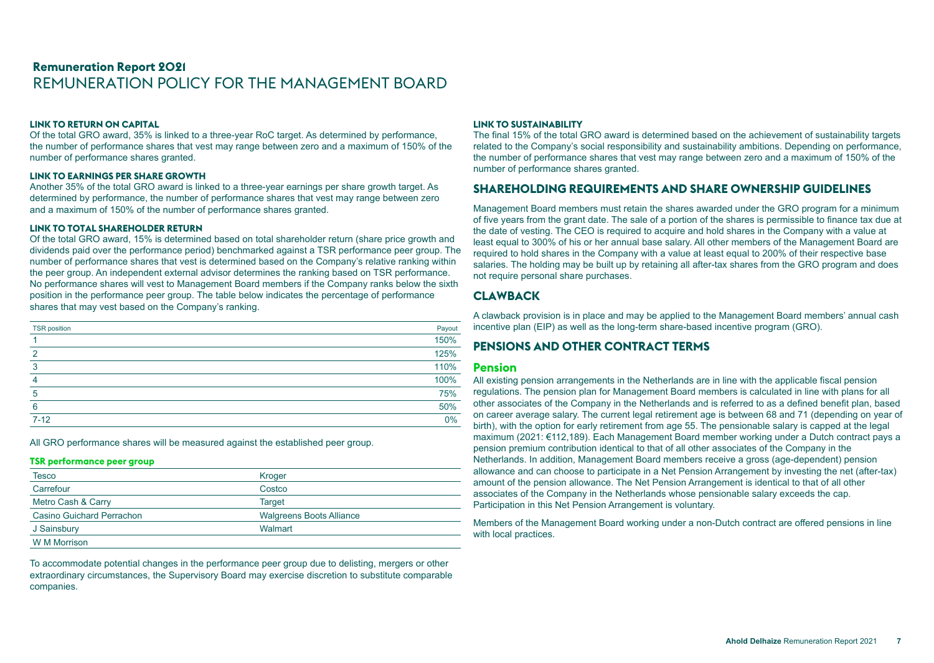#### **LINK TO RETURN ON CAPITAL**

Of the total GRO award, 35% is linked to a three-year RoC target. As determined by performance, the number of performance shares that vest may range between zero and a maximum of 150% of the number of performance shares granted.

#### **LINK TO EARNINGS PER SHARE GROWTH**

Another 35% of the total GRO award is linked to a three-year earnings per share growth target. As determined by performance, the number of performance shares that vest may range between zero and a maximum of 150% of the number of performance shares granted.

#### **LINK TO TOTAL SHAREHOLDER RETURN**

Of the total GRO award, 15% is determined based on total shareholder return (share price growth and dividends paid over the performance period) benchmarked against a TSR performance peer group. The number of performance shares that vest is determined based on the Company's relative ranking within the peer group. An independent external advisor determines the ranking based on TSR performance. No performance shares will vest to Management Board members if the Company ranks below the sixth position in the performance peer group. The table below indicates the percentage of performance shares that may vest based on the Company's ranking.

| <b>TSR</b> position | Payout |
|---------------------|--------|
|                     | 150%   |
| $\overline{2}$      | 125%   |
| 3                   | 110%   |
| $\overline{4}$      | 100%   |
| 5                   | 75%    |
| 6                   | 50%    |
| $7 - 12$            | 0%     |

All GRO performance shares will be measured against the established peer group.

#### **TSR performance peer group**

| <b>Tesco</b>              | Kroger                          |
|---------------------------|---------------------------------|
| Carrefour                 | Costco                          |
| Metro Cash & Carry        | <b>Target</b>                   |
| Casino Guichard Perrachon | <b>Walgreens Boots Alliance</b> |
| J Sainsbury               | Walmart                         |
| <b>W</b> M Morrison       |                                 |

To accommodate potential changes in the performance peer group due to delisting, mergers or other extraordinary circumstances, the Supervisory Board may exercise discretion to substitute comparable companies.

#### **LINK TO SUSTAINABILITY**

The final 15% of the total GRO award is determined based on the achievement of sustainability targets related to the Company's social responsibility and sustainability ambitions. Depending on performance, the number of performance shares that vest may range between zero and a maximum of 150% of the number of performance shares granted.

### **SHAREHOLDING REQUIREMENTS AND SHARE OWNERSHIP GUIDELINES**

Management Board members must retain the shares awarded under the GRO program for a minimum of five years from the grant date. The sale of a portion of the shares is permissible to finance tax due at the date of vesting. The CEO is required to acquire and hold shares in the Company with a value at least equal to 300% of his or her annual base salary. All other members of the Management Board are required to hold shares in the Company with a value at least equal to 200% of their respective base salaries. The holding may be built up by retaining all after-tax shares from the GRO program and does not require personal share purchases.

## **CLAWBACK**

A clawback provision is in place and may be applied to the Management Board members' annual cash incentive plan (EIP) as well as the long-term share-based incentive program (GRO).

# **PENSIONS AND OTHER CONTRACT TERMS**

#### **Pension**

All existing pension arrangements in the Netherlands are in line with the applicable fiscal pension regulations. The pension plan for Management Board members is calculated in line with plans for all other associates of the Company in the Netherlands and is referred to as a defined benefit plan, based on career average salary. The current legal retirement age is between 68 and 71 (depending on year of birth), with the option for early retirement from age 55. The pensionable salary is capped at the legal maximum (2021: €112,189). Each Management Board member working under a Dutch contract pays a pension premium contribution identical to that of all other associates of the Company in the Netherlands. In addition, Management Board members receive a gross (age-dependent) pension allowance and can choose to participate in a Net Pension Arrangement by investing the net (after-tax) amount of the pension allowance. The Net Pension Arrangement is identical to that of all other associates of the Company in the Netherlands whose pensionable salary exceeds the cap. Participation in this Net Pension Arrangement is voluntary.

Members of the Management Board working under a non-Dutch contract are offered pensions in line with local practices.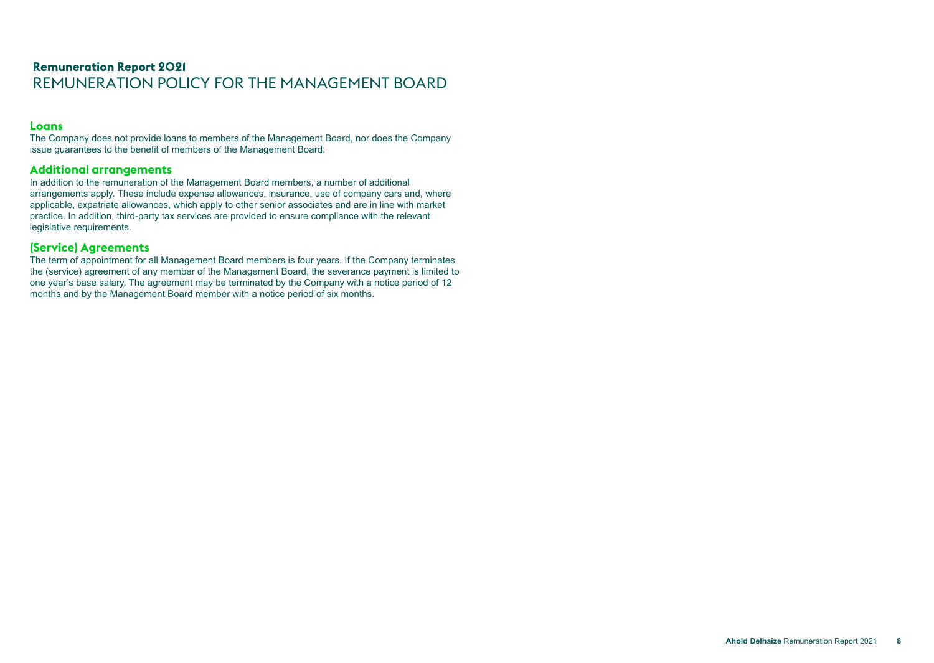# **Remuneration Report 2021** REMUNERATION POLICY FOR THE MANAGEMENT BOARD

#### **Loans**

The Company does not provide loans to members of the Management Board, nor does the Company issue guarantees to the benefit of members of the Management Board.

# **Additional arrangements**

In addition to the remuneration of the Management Board members, a number of additional arrangements apply. These include expense allowances, insurance, use of company cars and, where applicable, expatriate allowances, which apply to other senior associates and are in line with market practice. In addition, third-party tax services are provided to ensure compliance with the relevant legislative requirements.

## **(Service) Agreements**

The term of appointment for all Management Board members is four years. If the Company terminates the (service) agreement of any member of the Management Board, the severance payment is limited to one year's base salary. The agreement may be terminated by the Company with a notice period of 12 months and by the Management Board member with a notice period of six months.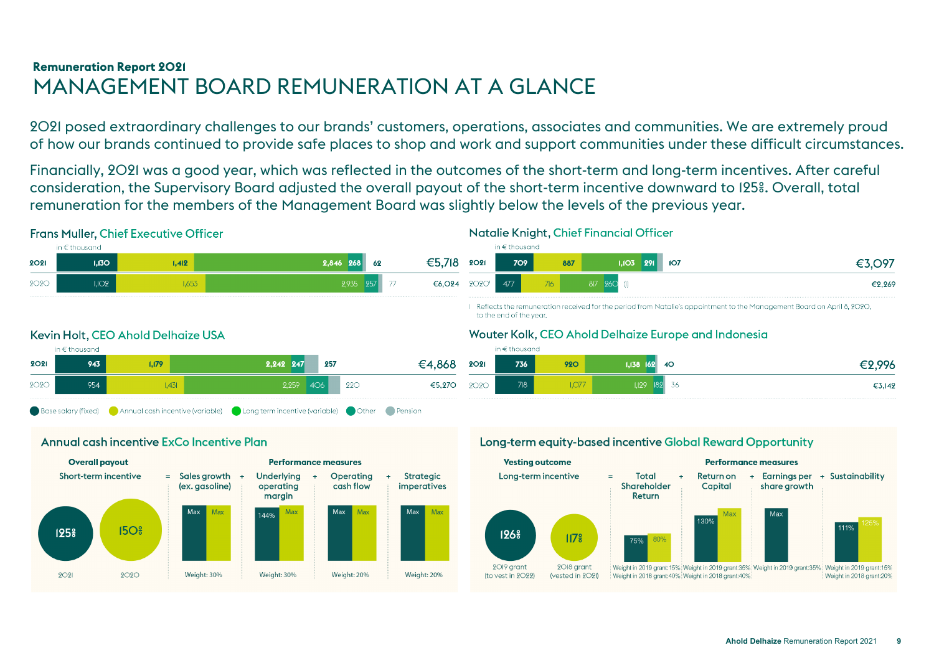# <span id="page-8-0"></span>**Remuneration Report 2021** MANAGEMENT BOARD REMUNERATION AT A GLANCE

2021 posed extraordinary challenges to our brands' customers, operations, associates and communities. We are extremely proud of how our brands continued to provide safe places to shop and work and support communities under these difficult circumstances.

Financially, 2021 was a good year, which was reflected in the outcomes of the short-term and long-term incentives. After careful consideration, the Supervisory Board adjusted the overall payout of the short-term incentive downward to 125%. Overall, total remuneration for the members of the Management Board was slightly below the levels of the previous year.

# **Frans Muller, Chief Executive Officer**



# Natalie Knight, Chief Financial Officer



I Reflects the remuneration received for the period from Natalie's appointment to the Management Board on April 8, 2020, to the end of the year.

# Wouter Kolk, CEO Ahold Delhaize Europe and Indonesia

|             | in $\epsilon$ thousand |            |                    |        |
|-------------|------------------------|------------|--------------------|--------|
| <b>2021</b> | 736                    | <b>920</b> | $1,138$ $162$ 40   | €2,996 |
| <b>2020</b> | 718                    | ,07,       | 36<br>1,129<br> 89 | €3,142 |

# Kevin Holt, CEO Ahold Delhaize USA



# Annual cash incentive ExCo Incentive Plan



# Long-term equity-based incentive Global Reward Opportunity

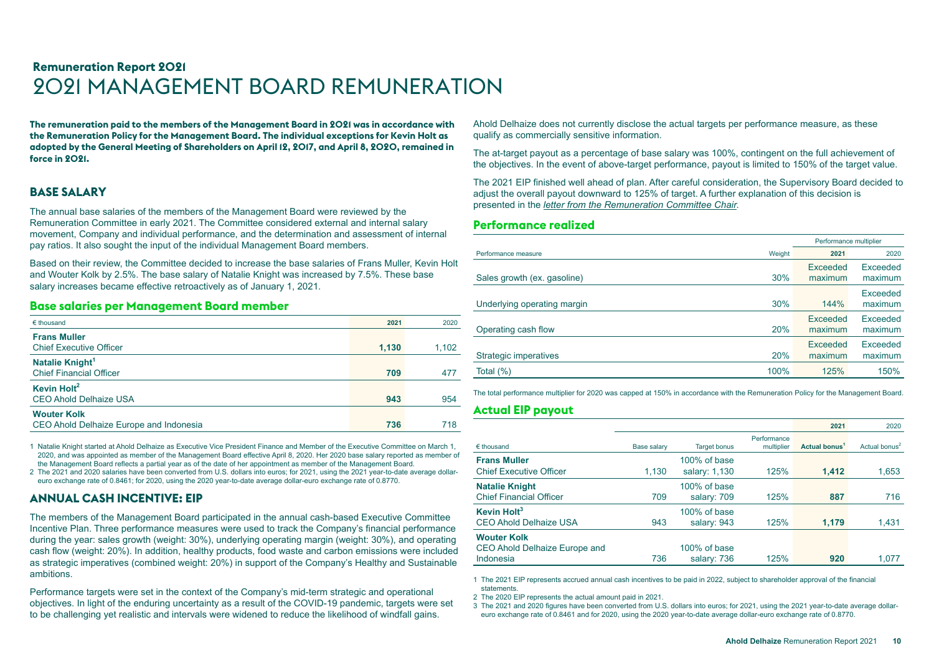<span id="page-9-0"></span>**The remuneration paid to the members of the Management Board in 2021 was in accordance with the Remuneration Policy for the Management Board. The individual exceptions for Kevin Holt as adopted by the General Meeting of Shareholders on April 12, 2017, and April 8, 2020, remained in force in 2021.**

# **BASE SALARY**

The annual base salaries of the members of the Management Board were reviewed by the Remuneration Committee in early 2021. The Committee considered external and internal salary movement, Company and individual performance, and the determination and assessment of internal pay ratios. It also sought the input of the individual Management Board members.

Based on their review, the Committee decided to increase the base salaries of Frans Muller, Kevin Holt and Wouter Kolk by 2.5%. The base salary of Natalie Knight was increased by 7.5%. These base salary increases became effective retroactively as of January 1, 2021.

#### **Base salaries per Management Board member**

| $\epsilon$ thousand                                           | 2021  | 2020  |
|---------------------------------------------------------------|-------|-------|
| <b>Frans Muller</b><br><b>Chief Executive Officer</b>         | 1,130 | 1,102 |
| Natalie Knight <sup>1</sup><br><b>Chief Financial Officer</b> | 709   | 477   |
| Kevin Holt <sup>2</sup><br><b>CEO Ahold Delhaize USA</b>      | 943   | 954   |
| <b>Wouter Kolk</b><br>CEO Ahold Delhaize Europe and Indonesia | 736   | 718   |

1 Natalie Knight started at Ahold Delhaize as Executive Vice President Finance and Member of the Executive Committee on March 1, 2020, and was appointed as member of the Management Board effective April 8, 2020. Her 2020 base salary reported as member of the Management Board reflects a partial year as of the date of her appointment as member of the Management Board.

2 The 2021 and 2020 salaries have been converted from U.S. dollars into euros; for 2021, using the 2021 year-to-date average dollareuro exchange rate of 0.8461; for 2020, using the 2020 year-to-date average dollar-euro exchange rate of 0.8770.

# **ANNUAL CASH INCENTIVE: EIP**

The members of the Management Board participated in the annual cash-based Executive Committee Incentive Plan. Three performance measures were used to track the Company's financial performance during the year: sales growth (weight: 30%), underlying operating margin (weight: 30%), and operating cash flow (weight: 20%). In addition, healthy products, food waste and carbon emissions were included as strategic imperatives (combined weight: 20%) in support of the Company's Healthy and Sustainable ambitions.

Performance targets were set in the context of the Company's mid-term strategic and operational objectives. In light of the enduring uncertainty as a result of the COVID-19 pandemic, targets were set to be challenging yet realistic and intervals were widened to reduce the likelihood of windfall gains.

Ahold Delhaize does not currently disclose the actual targets per performance measure, as these qualify as commercially sensitive information.

The at-target payout as a percentage of base salary was 100%, contingent on the full achievement of the objectives. In the event of above-target performance, payout is limited to 150% of the target value.

The 2021 EIP finished well ahead of plan. After careful consideration, the Supervisory Board decided to adjust the overall payout downward to 125% of target. A further explanation of this decision is presented in the *[letter from the Remuneration Committee Chair](#page-1-0)*.

#### **Performance realized**

|                              |            | Performance multiplier |                     |
|------------------------------|------------|------------------------|---------------------|
| Performance measure          | Weight     | 2021                   | 2020                |
| Sales growth (ex. gasoline)  | 30%        | Exceeded<br>maximum    | Exceeded<br>maximum |
| Underlying operating margin  | 30%        | 144%                   | Exceeded<br>maximum |
| Operating cash flow          | <b>20%</b> | Exceeded<br>maximum    | Exceeded<br>maximum |
| <b>Strategic imperatives</b> | 20%        | Exceeded<br>maximum    | Exceeded<br>maximum |
| Total (%)                    | 100%       | 125%                   | 150%                |

The total performance multiplier for 2020 was capped at 150% in accordance with the Remuneration Policy for the Management Board.

# **Actual EIP payout**

|                                |             |                     |                           | 2021                      | 2020                      |
|--------------------------------|-------------|---------------------|---------------------------|---------------------------|---------------------------|
| $\epsilon$ thousand            | Base salary | <b>Target bonus</b> | Performance<br>multiplier | Actual bonus <sup>1</sup> | Actual bonus <sup>2</sup> |
| <b>Frans Muller</b>            |             | 100% of base        |                           |                           |                           |
| <b>Chief Executive Officer</b> | 1,130       | salary: 1,130       | 125%                      | 1.412                     | 1,653                     |
| <b>Natalie Knight</b>          |             | 100% of base        |                           |                           |                           |
| <b>Chief Financial Officer</b> | 709         | salary: 709         | 125%                      | 887                       | 716                       |
| Kevin Holt <sup>3</sup>        |             | 100% of base        |                           |                           |                           |
| <b>CEO Ahold Delhaize USA</b>  | 943         | salary: 943         | 125%                      | 1,179                     | 1,431                     |
| <b>Wouter Kolk</b>             |             |                     |                           |                           |                           |
| CEO Ahold Delhaize Europe and  |             | 100% of base        |                           |                           |                           |
| Indonesia                      | 736         | salary: 736         | 125%                      | 920                       | 1.077                     |

1 The 2021 EIP represents accrued annual cash incentives to be paid in 2022, subject to shareholder approval of the financial statements.

2 The 2020 EIP represents the actual amount paid in 2021.

3 The 2021 and 2020 figures have been converted from U.S. dollars into euros; for 2021, using the 2021 year-to-date average dollareuro exchange rate of 0.8461 and for 2020, using the 2020 year-to-date average dollar-euro exchange rate of 0.8770.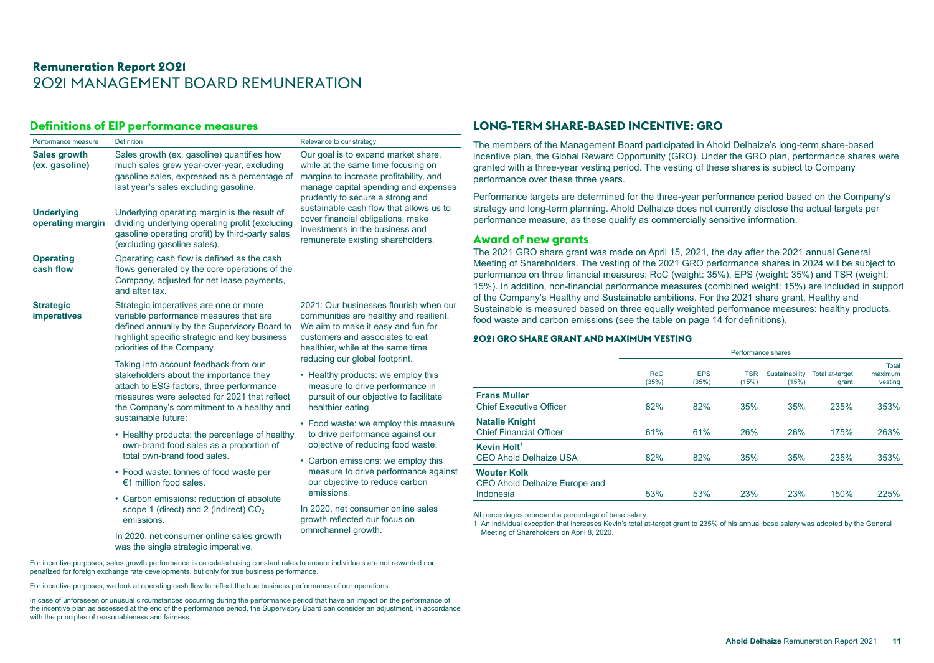## **Definitions of EIP performance measures**

| Performance measure                    | Definition                                                                                                                                                                                                                                      | Relevance to our strategy                                                                                                                                                                                      |
|----------------------------------------|-------------------------------------------------------------------------------------------------------------------------------------------------------------------------------------------------------------------------------------------------|----------------------------------------------------------------------------------------------------------------------------------------------------------------------------------------------------------------|
| <b>Sales growth</b><br>(ex. gasoline)  | Sales growth (ex. gasoline) quantifies how<br>much sales grew year-over-year, excluding<br>gasoline sales, expressed as a percentage of<br>last year's sales excluding gasoline.                                                                | Our goal is to expand market share,<br>while at the same time focusing on<br>margins to increase profitability, and<br>manage capital spending and expenses<br>prudently to secure a strong and                |
| <b>Underlying</b><br>operating margin  | Underlying operating margin is the result of<br>dividing underlying operating profit (excluding<br>gasoline operating profit) by third-party sales<br>(excluding gasoline sales).                                                               | sustainable cash flow that allows us to<br>cover financial obligations, make<br>investments in the business and<br>remunerate existing shareholders.                                                           |
| <b>Operating</b><br>cash flow          | Operating cash flow is defined as the cash<br>flows generated by the core operations of the<br>Company, adjusted for net lease payments,<br>and after tax.                                                                                      |                                                                                                                                                                                                                |
| <b>Strategic</b><br><b>imperatives</b> | Strategic imperatives are one or more<br>variable performance measures that are<br>defined annually by the Supervisory Board to<br>highlight specific strategic and key business<br>priorities of the Company.                                  | 2021: Our businesses flourish when our<br>communities are healthy and resilient.<br>We aim to make it easy and fun for<br>customers and associates to eat<br>healthier, while at the same time                 |
|                                        | Taking into account feedback from our<br>stakeholders about the importance they<br>attach to ESG factors, three performance<br>measures were selected for 2021 that reflect<br>the Company's commitment to a healthy and<br>sustainable future: | reducing our global footprint.<br>• Healthy products: we employ this<br>measure to drive performance in<br>pursuit of our objective to facilitate<br>healthier eating.<br>• Food waste: we employ this measure |
|                                        | • Healthy products: the percentage of healthy<br>own-brand food sales as a proportion of<br>total own-brand food sales.                                                                                                                         | to drive performance against our<br>objective of reducing food waste.                                                                                                                                          |
|                                        | • Food waste: tonnes of food waste per<br>€1 million food sales.                                                                                                                                                                                | • Carbon emissions: we employ this<br>measure to drive performance against<br>our objective to reduce carbon<br>emissions.                                                                                     |
|                                        | • Carbon emissions: reduction of absolute<br>scope 1 (direct) and 2 (indirect) $CO2$<br>emissions.                                                                                                                                              | In 2020, net consumer online sales<br>growth reflected our focus on                                                                                                                                            |
|                                        | In 2020, net consumer online sales growth<br>was the single strategic imperative.                                                                                                                                                               | omnichannel growth.                                                                                                                                                                                            |

#### For incentive purposes, sales growth performance is calculated using constant rates to ensure individuals are not rewarded nor penalized for foreign exchange rate developments, but only for true business performance.

For incentive purposes, we look at operating cash flow to reflect the true business performance of our operations.

In case of unforeseen or unusual circumstances occurring during the performance period that have an impact on the performance of the incentive plan as assessed at the end of the performance period, the Supervisory Board can consider an adjustment, in accordance with the principles of reasonableness and fairness.

# **LONG-TERM SHARE-BASED INCENTIVE: GRO**

The members of the Management Board participated in Ahold Delhaize's long-term share-based incentive plan, the Global Reward Opportunity (GRO). Under the GRO plan, performance shares were granted with a three-year vesting period. The vesting of these shares is subject to Company performance over these three years.

Performance targets are determined for the three-year performance period based on the Company's strategy and long-term planning. Ahold Delhaize does not currently disclose the actual targets per performance measure, as these qualify as commercially sensitive information.

#### **Award of new grants**

The 2021 GRO share grant was made on April 15, 2021, the day after the 2021 annual General Meeting of Shareholders. The vesting of the 2021 GRO performance shares in 2024 will be subject to performance on three financial measures: RoC (weight: 35%), EPS (weight: 35%) and TSR (weight: 15%). In addition, non-financial performance measures (combined weight: 15%) are included in support of the Company's Healthy and Sustainable ambitions. For the 2021 share grant, Healthy and Sustainable is measured based on three equally weighted performance measures: healthy products, food waste and carbon emissions (see the table on page 14 for definitions).

#### **2021 GRO SHARE GRANT AND MAXIMUM VESTING**

|                                                                  | Performance shares  |                     |                     |                         |                          |                                    |
|------------------------------------------------------------------|---------------------|---------------------|---------------------|-------------------------|--------------------------|------------------------------------|
|                                                                  | <b>RoC</b><br>(35%) | <b>EPS</b><br>(35%) | <b>TSR</b><br>(15%) | Sustainability<br>(15%) | Total at-target<br>grant | <b>Total</b><br>maximum<br>vesting |
| <b>Frans Muller</b><br><b>Chief Executive Officer</b>            | 82%                 | 82%                 | 35%                 | 35%                     | 235%                     | 353%                               |
| <b>Natalie Knight</b><br><b>Chief Financial Officer</b>          | 61%                 | 61%                 | 26%                 | <b>26%</b>              | 175%                     | 263%                               |
| Kevin Holt <sup>1</sup><br><b>CEO Ahold Delhaize USA</b>         | 82%                 | 82%                 | 35%                 | 35%                     | 235%                     | 353%                               |
| <b>Wouter Kolk</b><br>CEO Ahold Delhaize Europe and<br>Indonesia | 53%                 | 53%                 | 23%                 | 23%                     | 150%                     | 225%                               |

All percentages represent a percentage of base salary.

1 An individual exception that increases Kevin's total at-target grant to 235% of his annual base salary was adopted by the General Meeting of Shareholders on April 8, 2020.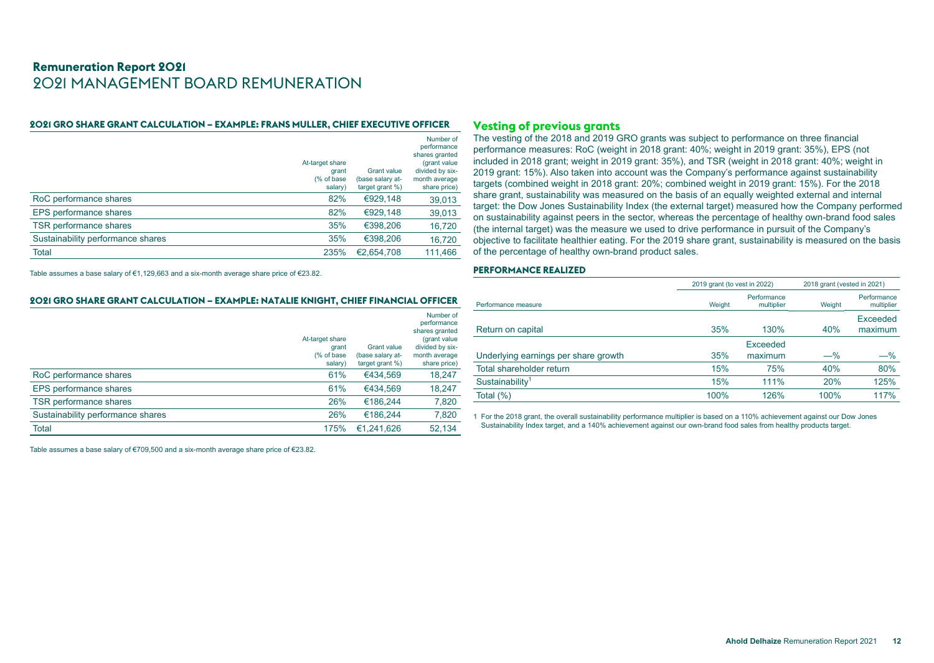#### **2021 GRO SHARE GRANT CALCULATION – EXAMPLE: FRANS MULLER, CHIEF EXECUTIVE OFFICER**

|                                   |                                                    |                                                           | Number of<br>performance                                                            |
|-----------------------------------|----------------------------------------------------|-----------------------------------------------------------|-------------------------------------------------------------------------------------|
|                                   | At-target share<br>grant<br>(% of base)<br>salary) | <b>Grant value</b><br>(base salary at-<br>target grant %) | shares granted<br>(grant value)<br>divided by six-<br>month average<br>share price) |
| RoC performance shares            | 82%                                                | €929,148                                                  | 39,013                                                                              |
| EPS performance shares            | 82%                                                | €929.148                                                  | 39,013                                                                              |
| TSR performance shares            | 35%                                                | €398,206                                                  | 16,720                                                                              |
| Sustainability performance shares | 35%                                                | €398,206                                                  | 16,720                                                                              |
| <b>Total</b>                      | 235%                                               | €2.654.708                                                | 111.466                                                                             |

Table assumes a base salary of €1,129,663 and a six-month average share price of €23.82.

#### **2021 GRO SHARE GRANT CALCULATION – EXAMPLE: NATALIE KNIGHT, CHIEF FINANCIAL OFFICER**

|                                   |                                                    |                                                              | Number of<br>performance                                                           |
|-----------------------------------|----------------------------------------------------|--------------------------------------------------------------|------------------------------------------------------------------------------------|
|                                   | At-target share<br>grant<br>(% of base)<br>salary) | <b>Grant value</b><br>(base salary at-<br>target grant $%$ ) | shares granted<br>(grant value<br>divided by six-<br>month average<br>share price) |
| RoC performance shares            | 61%                                                | €434.569                                                     | 18,247                                                                             |
| EPS performance shares            | 61%                                                | €434.569                                                     | 18,247                                                                             |
| TSR performance shares            | 26%                                                | €186.244                                                     | 7,820                                                                              |
| Sustainability performance shares | 26%                                                | €186.244                                                     | 7,820                                                                              |
| Total                             | 175%                                               | €1.241.626                                                   | 52,134                                                                             |

Table assumes a base salary of €709,500 and a six-month average share price of €23.82.

#### **Vesting of previous grants**

The vesting of the 2018 and 2019 GRO grants was subject to performance on three financial performance measures: RoC (weight in 2018 grant: 40%; weight in 2019 grant: 35%), EPS (not included in 2018 grant; weight in 2019 grant: 35%), and TSR (weight in 2018 grant: 40%; weight in 2019 grant: 15%). Also taken into account was the Company's performance against sustainability targets (combined weight in 2018 grant: 20%; combined weight in 2019 grant: 15%). For the 2018 share grant, sustainability was measured on the basis of an equally weighted external and internal target: the Dow Jones Sustainability Index (the external target) measured how the Company performed on sustainability against peers in the sector, whereas the percentage of healthy own-brand food sales (the internal target) was the measure we used to drive performance in pursuit of the Company's objective to facilitate healthier eating. For the 2019 share grant, sustainability is measured on the basis of the percentage of healthy own-brand product sales.

#### **PERFORMANCE REALIZED**

|                                      | 2019 grant (to vest in 2022) |                           | 2018 grant (vested in 2021) |                           |  |
|--------------------------------------|------------------------------|---------------------------|-----------------------------|---------------------------|--|
| Performance measure                  | Weight                       | Performance<br>multiplier | Weight                      | Performance<br>multiplier |  |
| Return on capital                    | 35%                          | 130%                      | 40%                         | Exceeded<br>maximum       |  |
|                                      |                              | <b>Exceeded</b>           |                             |                           |  |
| Underlying earnings per share growth | 35%                          | maximum                   | $-\%$                       | $-\%$                     |  |
| Total shareholder return             | 15%                          | 75%                       | 40%                         | 80%                       |  |
| Sustainability <sup>1</sup>          | 15%                          | 111%                      | 20%                         | 125%                      |  |
| Total $(\%)$                         | 100%                         | 126%                      | 100%                        | 117%                      |  |

1 For the 2018 grant, the overall sustainability performance multiplier is based on a 110% achievement against our Dow Jones Sustainability Index target, and a 140% achievement against our own-brand food sales from healthy products target.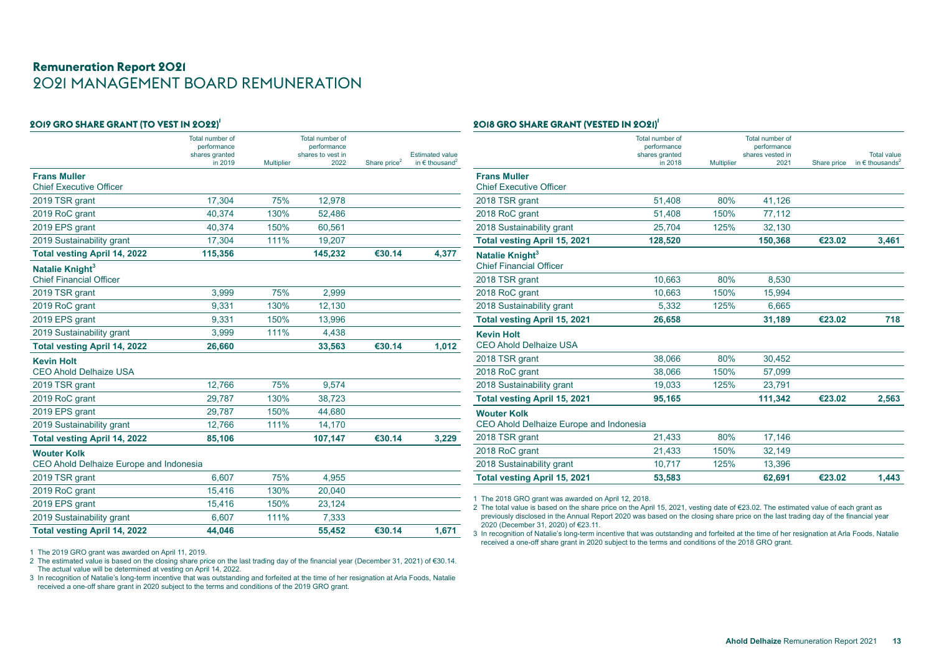| 2019 GRO SHARE GRANT (TO VEST IN 2022)'                       |                                                             |                   |                                                             |                          |                                                               |
|---------------------------------------------------------------|-------------------------------------------------------------|-------------------|-------------------------------------------------------------|--------------------------|---------------------------------------------------------------|
|                                                               | Total number of<br>performance<br>shares granted<br>in 2019 | <b>Multiplier</b> | Total number of<br>performance<br>shares to yest in<br>2022 | Share price <sup>2</sup> | <b>Estimated value</b><br>in $\epsilon$ thousand <sup>2</sup> |
| <b>Frans Muller</b>                                           |                                                             |                   |                                                             |                          |                                                               |
| <b>Chief Executive Officer</b>                                |                                                             |                   |                                                             |                          |                                                               |
| 2019 TSR grant                                                | 17,304                                                      | 75%               | 12,978                                                      |                          |                                                               |
| 2019 RoC grant                                                | 40,374                                                      | 130%              | 52,486                                                      |                          |                                                               |
| 2019 EPS grant                                                | 40,374                                                      | 150%              | 60,561                                                      |                          |                                                               |
| 2019 Sustainability grant                                     | 17,304                                                      | 111%              | 19,207                                                      |                          |                                                               |
| <b>Total vesting April 14, 2022</b>                           | 115,356                                                     |                   | 145,232                                                     | €30.14                   | 4,377                                                         |
| Natalie Knight <sup>3</sup><br><b>Chief Financial Officer</b> |                                                             |                   |                                                             |                          |                                                               |
| 2019 TSR grant                                                | 3,999                                                       | 75%               | 2,999                                                       |                          |                                                               |
| 2019 RoC grant                                                | 9,331                                                       | 130%              | 12,130                                                      |                          |                                                               |
| 2019 EPS grant                                                | 9,331                                                       | 150%              | 13,996                                                      |                          |                                                               |
| 2019 Sustainability grant                                     | 3,999                                                       | 111%              | 4,438                                                       |                          |                                                               |
| <b>Total vesting April 14, 2022</b>                           | 26,660                                                      |                   | 33,563                                                      | €30.14                   | 1,012                                                         |
| <b>Kevin Holt</b><br><b>CEO Ahold Delhaize USA</b>            |                                                             |                   |                                                             |                          |                                                               |
| 2019 TSR grant                                                | 12,766                                                      | 75%               | 9,574                                                       |                          |                                                               |
| 2019 RoC grant                                                | 29,787                                                      | 130%              | 38,723                                                      |                          |                                                               |
| 2019 EPS grant                                                | 29,787                                                      | 150%              | 44,680                                                      |                          |                                                               |
| 2019 Sustainability grant                                     | 12,766                                                      | 111%              | 14,170                                                      |                          |                                                               |
| <b>Total vesting April 14, 2022</b>                           | 85,106                                                      |                   | 107,147                                                     | €30.14                   | 3,229                                                         |
| <b>Wouter Kolk</b><br>CEO Ahold Delhaize Europe and Indonesia |                                                             |                   |                                                             |                          |                                                               |
| 2019 TSR grant                                                | 6,607                                                       | 75%               | 4,955                                                       |                          |                                                               |
| 2019 RoC grant                                                | 15,416                                                      | 130%              | 20,040                                                      |                          |                                                               |
| 2019 EPS grant                                                | 15,416                                                      | 150%              | 23,124                                                      |                          |                                                               |
| 2019 Sustainability grant                                     | 6,607                                                       | 111%              | 7,333                                                       |                          |                                                               |
| <b>Total vesting April 14, 2022</b>                           | 44,046                                                      |                   | 55,452                                                      | €30.14                   | 1,671                                                         |

1 The 2019 GRO grant was awarded on April 11, 2019.

2 The estimated value is based on the closing share price on the last trading day of the financial year (December 31, 2021) of €30.14. The actual value will be determined at vesting on April 14, 2022.

3 In recognition of Natalie's long-term incentive that was outstanding and forfeited at the time of her resignation at Arla Foods, Natalie received a one-off share grant in 2020 subject to the terms and conditions of the 2019 GRO grant.

#### **2018 GRO SHARE GRANT (VESTED IN 2021)<sup>1</sup>**

|                                                               | Total number of<br>performance<br>shares granted |                   | Total number of<br>performance<br>shares vested in |             | <b>Total value</b>                   |
|---------------------------------------------------------------|--------------------------------------------------|-------------------|----------------------------------------------------|-------------|--------------------------------------|
|                                                               | in 2018                                          | <b>Multiplier</b> | 2021                                               | Share price | in $\epsilon$ thousands <sup>2</sup> |
| <b>Frans Muller</b><br><b>Chief Executive Officer</b>         |                                                  |                   |                                                    |             |                                      |
| 2018 TSR grant                                                | 51,408                                           | 80%               | 41,126                                             |             |                                      |
| 2018 RoC grant                                                | 51,408                                           | 150%              | 77,112                                             |             |                                      |
| 2018 Sustainability grant                                     | 25,704                                           | 125%              | 32,130                                             |             |                                      |
| <b>Total vesting April 15, 2021</b>                           | 128,520                                          |                   | 150,368                                            | €23.02      | 3,461                                |
| Natalie Knight <sup>3</sup><br><b>Chief Financial Officer</b> |                                                  |                   |                                                    |             |                                      |
| 2018 TSR grant                                                | 10,663                                           | 80%               | 8,530                                              |             |                                      |
| 2018 RoC grant                                                | 10,663                                           | 150%              | 15.994                                             |             |                                      |
| 2018 Sustainability grant                                     | 5,332                                            | 125%              | 6,665                                              |             |                                      |
| <b>Total vesting April 15, 2021</b>                           | 26,658                                           |                   | 31,189                                             | €23.02      | 718                                  |
| <b>Kevin Holt</b><br><b>CEO Ahold Delhaize USA</b>            |                                                  |                   |                                                    |             |                                      |
| 2018 TSR grant                                                | 38,066                                           | 80%               | 30,452                                             |             |                                      |
| 2018 RoC grant                                                | 38,066                                           | 150%              | 57,099                                             |             |                                      |
| 2018 Sustainability grant                                     | 19,033                                           | 125%              | 23,791                                             |             |                                      |
| <b>Total vesting April 15, 2021</b>                           | 95,165                                           |                   | 111,342                                            | €23.02      | 2,563                                |
| <b>Wouter Kolk</b><br>CEO Ahold Delhaize Europe and Indonesia |                                                  |                   |                                                    |             |                                      |
| 2018 TSR grant                                                | 21,433                                           | 80%               | 17,146                                             |             |                                      |
| 2018 RoC grant                                                | 21,433                                           | 150%              | 32,149                                             |             |                                      |
| 2018 Sustainability grant                                     | 10,717                                           | 125%              | 13,396                                             |             |                                      |
| <b>Total vesting April 15, 2021</b>                           | 53,583                                           |                   | 62,691                                             | €23.02      | 1,443                                |

 $-$  1 The 2018 GRO grant was awarded on April 12, 2018.

2 The total value is based on the share price on the April 15, 2021, vesting date of €23.02. The estimated value of each grant as<br>previously disclosed in the Annual Report 2020 was based on the closing share price on the 2020 (December 31, 2020) of €23.11.

3 In recognition of Natalie's long-term incentive that was outstanding and forfeited at the time of her resignation at Arla Foods, Natalie received a one-off share grant in 2020 subject to the terms and conditions of the 2018 GRO grant.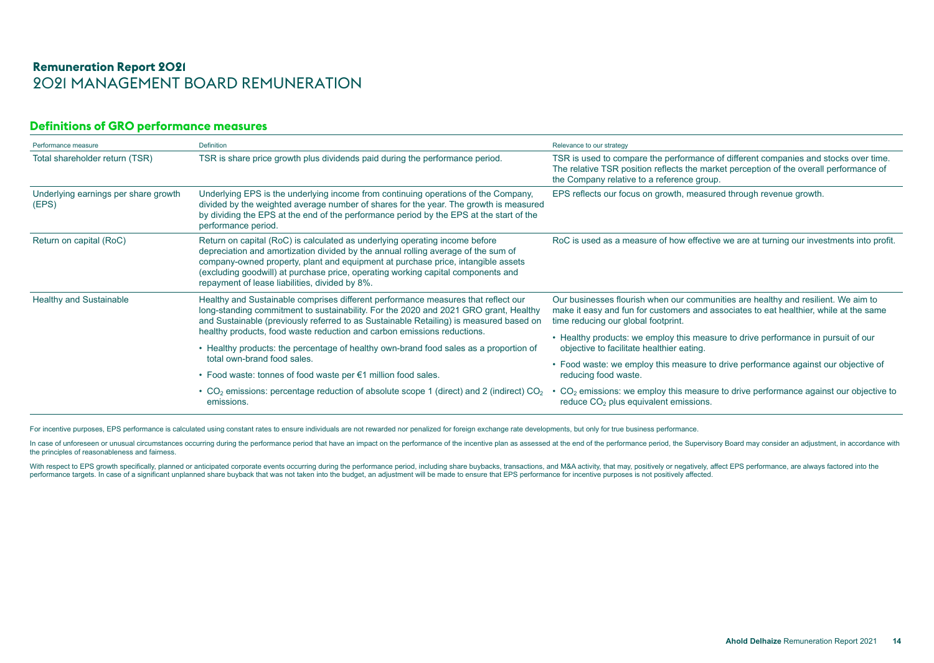# **Definitions of GRO performance measures**

| Performance measure                           | Definition                                                                                                                                                                                                                                                                                                                                                                                 | Relevance to our strategy                                                                                                                                                                                                   |
|-----------------------------------------------|--------------------------------------------------------------------------------------------------------------------------------------------------------------------------------------------------------------------------------------------------------------------------------------------------------------------------------------------------------------------------------------------|-----------------------------------------------------------------------------------------------------------------------------------------------------------------------------------------------------------------------------|
| Total shareholder return (TSR)                | TSR is share price growth plus dividends paid during the performance period.                                                                                                                                                                                                                                                                                                               | TSR is used to compare the performance of different companies and stocks over time.<br>The relative TSR position reflects the market perception of the overall performance of<br>the Company relative to a reference group. |
| Underlying earnings per share growth<br>(EPS) | Underlying EPS is the underlying income from continuing operations of the Company,<br>divided by the weighted average number of shares for the year. The growth is measured<br>by dividing the EPS at the end of the performance period by the EPS at the start of the<br>performance period.                                                                                              | EPS reflects our focus on growth, measured through revenue growth.                                                                                                                                                          |
| Return on capital (RoC)                       | Return on capital (RoC) is calculated as underlying operating income before<br>depreciation and amortization divided by the annual rolling average of the sum of<br>company-owned property, plant and equipment at purchase price, intangible assets<br>(excluding goodwill) at purchase price, operating working capital components and<br>repayment of lease liabilities, divided by 8%. | RoC is used as a measure of how effective we are at turning our investments into profit.                                                                                                                                    |
| <b>Healthy and Sustainable</b>                | Healthy and Sustainable comprises different performance measures that reflect our<br>long-standing commitment to sustainability. For the 2020 and 2021 GRO grant, Healthy<br>and Sustainable (previously referred to as Sustainable Retailing) is measured based on<br>healthy products, food waste reduction and carbon emissions reductions.                                             | Our businesses flourish when our communities are healthy and resilient. We aim to<br>make it easy and fun for customers and associates to eat healthier, while at the same<br>time reducing our global footprint.           |
|                                               | • Healthy products: the percentage of healthy own-brand food sales as a proportion of                                                                                                                                                                                                                                                                                                      | • Healthy products: we employ this measure to drive performance in pursuit of our<br>objective to facilitate healthier eating.                                                                                              |
|                                               | total own-brand food sales.                                                                                                                                                                                                                                                                                                                                                                | • Food waste: we employ this measure to drive performance against our objective of                                                                                                                                          |
|                                               | • Food waste: tonnes of food waste per €1 million food sales.                                                                                                                                                                                                                                                                                                                              | reducing food waste.                                                                                                                                                                                                        |
|                                               | • $CO2$ emissions: percentage reduction of absolute scope 1 (direct) and 2 (indirect) $CO2$<br>emissions.                                                                                                                                                                                                                                                                                  | • CO <sub>2</sub> emissions: we employ this measure to drive performance against our objective to<br>reduce CO <sub>2</sub> plus equivalent emissions.                                                                      |

For incentive purposes, EPS performance is calculated using constant rates to ensure individuals are not rewarded nor penalized for foreign exchange rate developments, but only for true business performance.

In case of unforeseen or unusual circumstances occurring during the performance period that have an impact on the performance of the incentive plan as assessed at the end of the performance period, the Supervisory Board ma the principles of reasonableness and fairness.

With respect to EPS growth specifically, planned or anticipated corporate events occurring during the performance period, including share buybacks, transactions, and M&A activity, that may, positively or negatively, affect performance targets. In case of a significant unplanned share buyback that was not taken into the budget, an adjustment will be made to ensure that EPS performance for incentive purposes is not positively affected.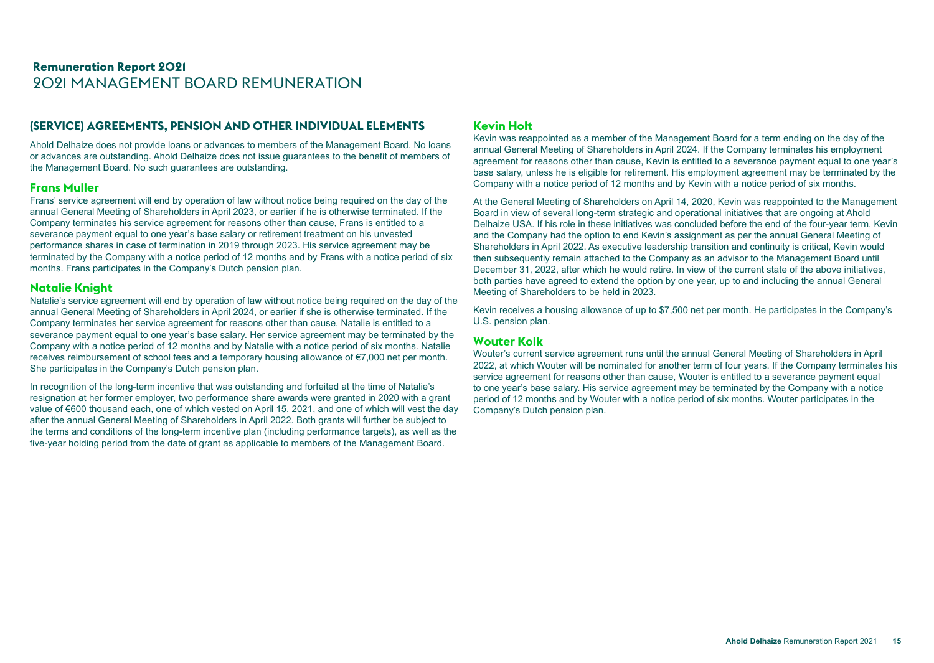# **(SERVICE) AGREEMENTS, PENSION AND OTHER INDIVIDUAL ELEMENTS**

Ahold Delhaize does not provide loans or advances to members of the Management Board. No loans or advances are outstanding. Ahold Delhaize does not issue guarantees to the benefit of members of the Management Board. No such guarantees are outstanding.

#### **Frans Muller**

Frans' service agreement will end by operation of law without notice being required on the day of the annual General Meeting of Shareholders in April 2023, or earlier if he is otherwise terminated. If the Company terminates his service agreement for reasons other than cause, Frans is entitled to a severance payment equal to one year's base salary or retirement treatment on his unvested performance shares in case of termination in 2019 through 2023. His service agreement may be terminated by the Company with a notice period of 12 months and by Frans with a notice period of six months. Frans participates in the Company's Dutch pension plan.

# **Natalie Knight**

Natalie's service agreement will end by operation of law without notice being required on the day of the annual General Meeting of Shareholders in April 2024, or earlier if she is otherwise terminated. If the Company terminates her service agreement for reasons other than cause, Natalie is entitled to a severance payment equal to one year's base salary. Her service agreement may be terminated by the Company with a notice period of 12 months and by Natalie with a notice period of six months. Natalie receives reimbursement of school fees and a temporary housing allowance of €7,000 net per month. She participates in the Company's Dutch pension plan.

In recognition of the long-term incentive that was outstanding and forfeited at the time of Natalie's resignation at her former employer, two performance share awards were granted in 2020 with a grant value of €600 thousand each, one of which vested on April 15, 2021, and one of which will vest the day after the annual General Meeting of Shareholders in April 2022. Both grants will further be subject to the terms and conditions of the long-term incentive plan (including performance targets), as well as the five-year holding period from the date of grant as applicable to members of the Management Board.

# **Kevin Holt**

Kevin was reappointed as a member of the Management Board for a term ending on the day of the annual General Meeting of Shareholders in April 2024. If the Company terminates his employment agreement for reasons other than cause, Kevin is entitled to a severance payment equal to one year's base salary, unless he is eligible for retirement. His employment agreement may be terminated by the Company with a notice period of 12 months and by Kevin with a notice period of six months.

At the General Meeting of Shareholders on April 14, 2020, Kevin was reappointed to the Management Board in view of several long-term strategic and operational initiatives that are ongoing at Ahold Delhaize USA. If his role in these initiatives was concluded before the end of the four-year term, Kevin and the Company had the option to end Kevin's assignment as per the annual General Meeting of Shareholders in April 2022. As executive leadership transition and continuity is critical, Kevin would then subsequently remain attached to the Company as an advisor to the Management Board until December 31, 2022, after which he would retire. In view of the current state of the above initiatives, both parties have agreed to extend the option by one year, up to and including the annual General Meeting of Shareholders to be held in 2023.

Kevin receives a housing allowance of up to \$7,500 net per month. He participates in the Company's U.S. pension plan.

#### **Wouter Kolk**

Wouter's current service agreement runs until the annual General Meeting of Shareholders in April 2022, at which Wouter will be nominated for another term of four years. If the Company terminates his service agreement for reasons other than cause, Wouter is entitled to a severance payment equal to one year's base salary. His service agreement may be terminated by the Company with a notice period of 12 months and by Wouter with a notice period of six months. Wouter participates in the Company's Dutch pension plan.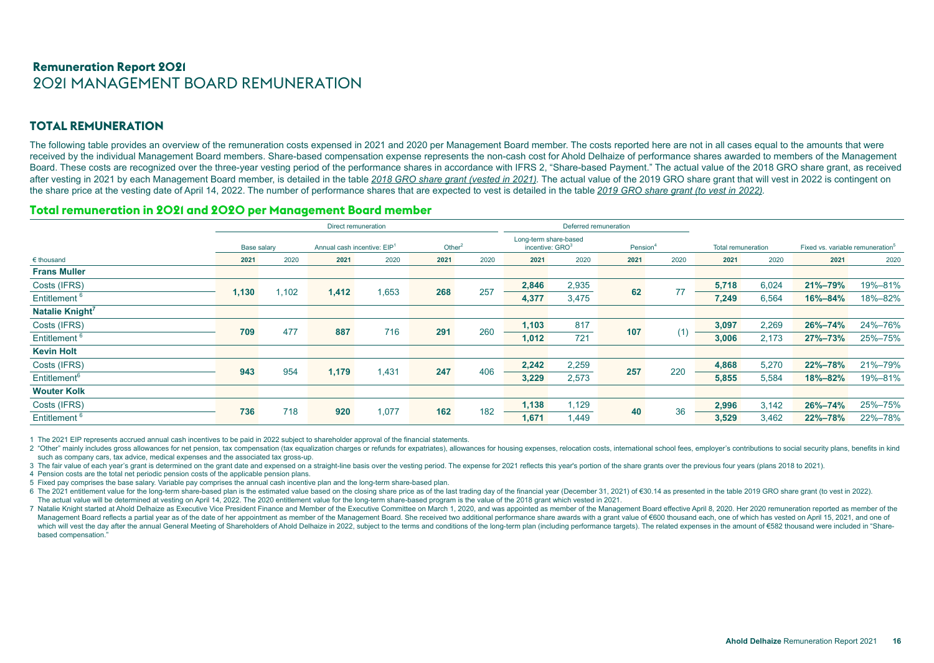# **TOTAL REMUNERATION**

The following table provides an overview of the remuneration costs expensed in 2021 and 2020 per Management Board member. The costs reported here are not in all cases equal to the amounts that were received by the individual Management Board members. Share-based compensation expense represents the non-cash cost for Ahold Delhaize of performance shares awarded to members of the Management Board. These costs are recognized over the three-year vesting period of the performance shares in accordance with IFRS 2, "Share-based Payment." The actual value of the 2018 GRO share grant, as received after vesting in 2021 by each Management Board member, is detailed in the table 2018 GRO share grant (vested in 2021). The actual value of the 2019 GRO share grant that will vest in 2022 is contingent on the share price at the vesting date of April 14, 2022. The number of performance shares that are expected to vest is detailed in the table *2019 GRO share grant (to vest in 2022).*

#### **Total remuneration in 2021 and 2020 per Management Board member**

|                             | Direct remuneration |       |                                                      |       |      |                                                                              | Deferred remuneration |       |                    |      |                                              |       |               |         |
|-----------------------------|---------------------|-------|------------------------------------------------------|-------|------|------------------------------------------------------------------------------|-----------------------|-------|--------------------|------|----------------------------------------------|-------|---------------|---------|
|                             | Base salary         |       | Annual cash incentive: EIP <sup>1</sup><br>Other $2$ |       |      | Long-term share-based<br>incentive: GRO <sup>3</sup><br>Pension <sup>4</sup> |                       |       | Total remuneration |      | Fixed vs. variable remuneration <sup>5</sup> |       |               |         |
| $\epsilon$ thousand         | 2021                | 2020  | 2021                                                 | 2020  | 2021 | 2020                                                                         | 2021                  | 2020  | 2021               | 2020 | 2021                                         | 2020  | 2021          | 2020    |
| <b>Frans Muller</b>         |                     |       |                                                      |       |      |                                                                              |                       |       |                    |      |                                              |       |               |         |
| Costs (IFRS)                |                     |       |                                                      |       |      |                                                                              | 2,846                 | 2,935 |                    |      | 5,718                                        | 6,024 | 21%-79%       | 19%-81% |
| Entitlement <sup>6</sup>    | 1,130               | 1,102 | 1,412                                                | 1,653 | 268  | 257                                                                          | 4,377                 | 3,475 | 62                 | 77   | 7,249                                        | 6,564 | 16%-84%       | 18%-82% |
| Natalie Knight <sup>7</sup> |                     |       |                                                      |       |      |                                                                              |                       |       |                    |      |                                              |       |               |         |
| Costs (IFRS)                |                     |       |                                                      |       |      |                                                                              | 1,103                 | 817   |                    |      | 3,097                                        | 2,269 | 26%-74%       | 24%-76% |
| Entitlement <sup>6</sup>    | 709                 | 477   | 887                                                  | 716   | 291  | 260                                                                          | 1,012                 | 721   | 107                |      | 3,006                                        | 2,173 | $27\% - 73\%$ | 25%-75% |
| <b>Kevin Holt</b>           |                     |       |                                                      |       |      |                                                                              |                       |       |                    |      |                                              |       |               |         |
| Costs (IFRS)                |                     |       |                                                      |       |      |                                                                              | 2,242                 | 2,259 |                    | 220  | 4,868                                        | 5,270 | 22%-78%       | 21%-79% |
| Entitlement <sup>6</sup>    | 943                 | 954   | 1,179                                                | 1,431 | 247  | 406                                                                          | 3,229                 | 2,573 | 257                |      | 5,855                                        | 5,584 | 18%-82%       | 19%-81% |
| <b>Wouter Kolk</b>          |                     |       |                                                      |       |      |                                                                              |                       |       |                    |      |                                              |       |               |         |
| Costs (IFRS)                |                     |       |                                                      |       |      |                                                                              | 1,138                 | 1,129 |                    |      | 2,996                                        | 3,142 | 26%-74%       | 25%-75% |
| Entitlement <sup>6</sup>    | 736                 | 718   | 920                                                  | 1,077 | 162  | 182                                                                          | 1,671                 | 1.449 | 40                 | 36   | 3,529                                        | 3,462 | 22%-78%       | 22%-78% |

1 The 2021 EIP represents accrued annual cash incentives to be paid in 2022 subject to shareholder approval of the financial statements.

2 "Other" mainly includes gross allowances for net pension, tax compensation (tax equalization charges or refunds for expatriates), allowances for housing expenses, relocation costs, international school fees, employer's c such as company cars, tax advice, medical expenses and the associated tax gross-up.

3 The fair value of each vear's grant is determined on the grant date and expensed on a straight-line basis over the vesting period. The expense for 2021 reflects this year's portion of the share grants over the previous f

4 Pension costs are the total net periodic pension costs of the applicable pension plans.

5 Fixed pay comprises the base salary. Variable pay comprises the annual cash incentive plan and the long-term share-based plan.

6 The 2021 entitlement value for the long-term share-based plan is the estimated value based on the closing share price as of the last trading day of the financial year (December 31, 2021) of €30.14 as presented in the tab The actual value will be determined at vesting on April 14, 2022. The 2020 entitlement value for the long-term share-based program is the value of the 2018 grant which vested in 2021.

7 Natalie Knight started at Ahold Delhaize as Executive Vice President Finance and Member of the Executive Committee on March 1, 2020, and was appointed as member of the Management Board effective April 8, 2020. Her 2020 r Management Board reflects a partial year as of the date of her appointment as member of the Management Board. She received two additional performance share awards with a grant value of €600 thousand each, one of which has which will vest the day after the annual General Meeting of Shareholders of Ahold Delhaize in 2022, subiect to the terms and conditions of the long-term plan (including performance targets). The related expenses in the amo based compensation."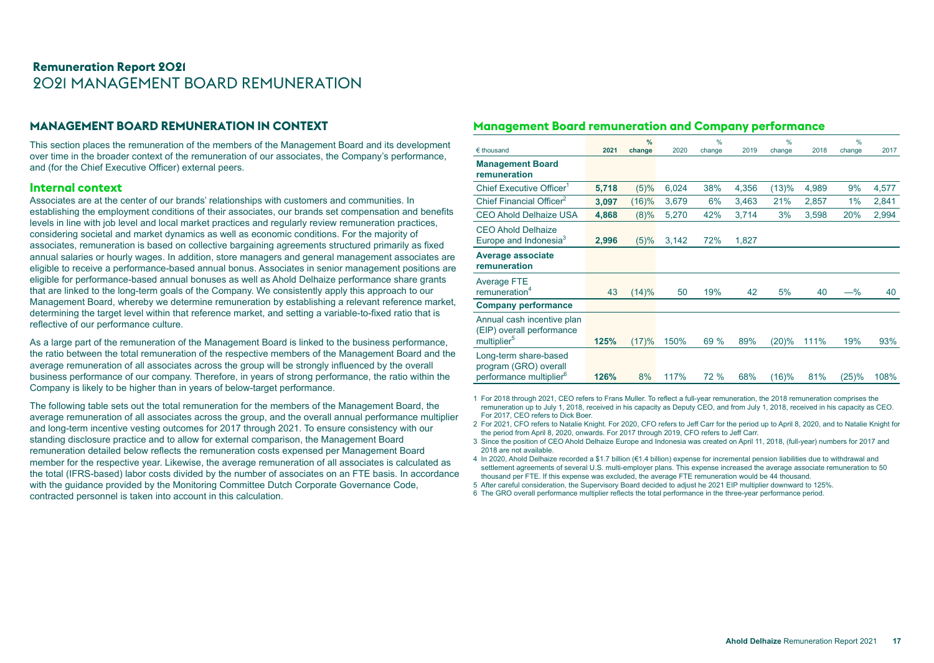# **MANAGEMENT BOARD REMUNERATION IN CONTEXT**

This section places the remuneration of the members of the Management Board and its development over time in the broader context of the remuneration of our associates, the Company's performance, and (for the Chief Executive Officer) external peers.

#### **Internal context**

Associates are at the center of our brands' relationships with customers and communities. In establishing the employment conditions of their associates, our brands set compensation and benefits levels in line with job level and local market practices and regularly review remuneration practices, considering societal and market dynamics as well as economic conditions. For the majority of associates, remuneration is based on collective bargaining agreements structured primarily as fixed annual salaries or hourly wages. In addition, store managers and general management associates are eligible to receive a performance-based annual bonus. Associates in senior management positions are eligible for performance-based annual bonuses as well as Ahold Delhaize performance share grants that are linked to the long-term goals of the Company. We consistently apply this approach to our Management Board, whereby we determine remuneration by establishing a relevant reference market, determining the target level within that reference market, and setting a variable-to-fixed ratio that is reflective of our performance culture.

As a large part of the remuneration of the Management Board is linked to the business performance, the ratio between the total remuneration of the respective members of the Management Board and the average remuneration of all associates across the group will be strongly influenced by the overall business performance of our company. Therefore, in years of strong performance, the ratio within the Company is likely to be higher than in years of below-target performance.

The following table sets out the total remuneration for the members of the Management Board, the average remuneration of all associates across the group, and the overall annual performance multiplier and long-term incentive vesting outcomes for 2017 through 2021. To ensure consistency with our standing disclosure practice and to allow for external comparison, the Management Board remuneration detailed below reflects the remuneration costs expensed per Management Board member for the respective year. Likewise, the average remuneration of all associates is calculated as the total (IFRS-based) labor costs divided by the number of associates on an FTE basis. In accordance with the guidance provided by the Monitoring Committee Dutch Corporate Governance Code, contracted personnel is taken into account in this calculation.

#### **Management Board remuneration and Company performance**

|                                                                                       |       | %      |       | %      |       | $\frac{0}{0}$ |       | %      |       |
|---------------------------------------------------------------------------------------|-------|--------|-------|--------|-------|---------------|-------|--------|-------|
| $\epsilon$ thousand                                                                   | 2021  | change | 2020  | change | 2019  | change        | 2018  | change | 2017  |
| <b>Management Board</b><br>remuneration                                               |       |        |       |        |       |               |       |        |       |
| Chief Executive Officer <sup>1</sup>                                                  | 5,718 | (5)%   | 6,024 | 38%    | 4,356 | (13)%         | 4,989 | 9%     | 4,577 |
| Chief Financial Officer <sup>2</sup>                                                  | 3,097 | (16)%  | 3,679 | 6%     | 3,463 | 21%           | 2,857 | 1%     | 2,841 |
| <b>CEO Ahold Delhaize USA</b>                                                         | 4,868 | (8)%   | 5,270 | 42%    | 3,714 | 3%            | 3,598 | 20%    | 2,994 |
| <b>CEO Ahold Delhaize</b><br>Europe and Indonesia <sup>3</sup>                        | 2,996 | (5)%   | 3,142 | 72%    | 1,827 |               |       |        |       |
| <b>Average associate</b><br>remuneration                                              |       |        |       |        |       |               |       |        |       |
| <b>Average FTE</b><br>remuneration <sup>4</sup>                                       | 43    | (14)%  | 50    | 19%    | 42    | 5%            | 40    | $-\%$  | 40    |
| <b>Company performance</b>                                                            |       |        |       |        |       |               |       |        |       |
| Annual cash incentive plan<br>(EIP) overall performance<br>multiplier <sup>5</sup>    | 125%  | (17)%  | 150%  | 69 %   | 89%   | (20)%         | 111%  | 19%    | 93%   |
| Long-term share-based<br>program (GRO) overall<br>performance multiplier <sup>6</sup> | 126%  | 8%     | 117%  | 72 %   | 68%   | (16)%         | 81%   | (25)%  | 108%  |

1 For 2018 through 2021, CEO refers to Frans Muller. To reflect a full-year remuneration, the 2018 remuneration comprises the remuneration up to July 1, 2018, received in his capacity as Deputy CEO, and from July 1, 2018, received in his capacity as CEO. For 2017, CEO refers to Dick Boer.

2 For 2021, CFO refers to Natalie Knight. For 2020, CFO refers to Jeff Carr for the period up to April 8, 2020, and to Natalie Knight for the period from April 8, 2020, onwards. For 2017 through 2019, CFO refers to Jeff Carr.

3 Since the position of CEO Ahold Delhaize Europe and Indonesia was created on April 11, 2018, (full-year) numbers for 2017 and 2018 are not available.

4 In 2020, Ahold Delhaize recorded a \$1.7 billion (€1.4 billion) expense for incremental pension liabilities due to withdrawal and settlement agreements of several U.S. multi-employer plans. This expense increased the average associate remuneration to 50 thousand per FTE. If this expense was excluded, the average FTE remuneration would be 44 thousand.

5 After careful consideration, the Supervisory Board decided to adjust he 2021 EIP multiplier downward to 125%.

6 The GRO overall performance multiplier reflects the total performance in the three-year performance period.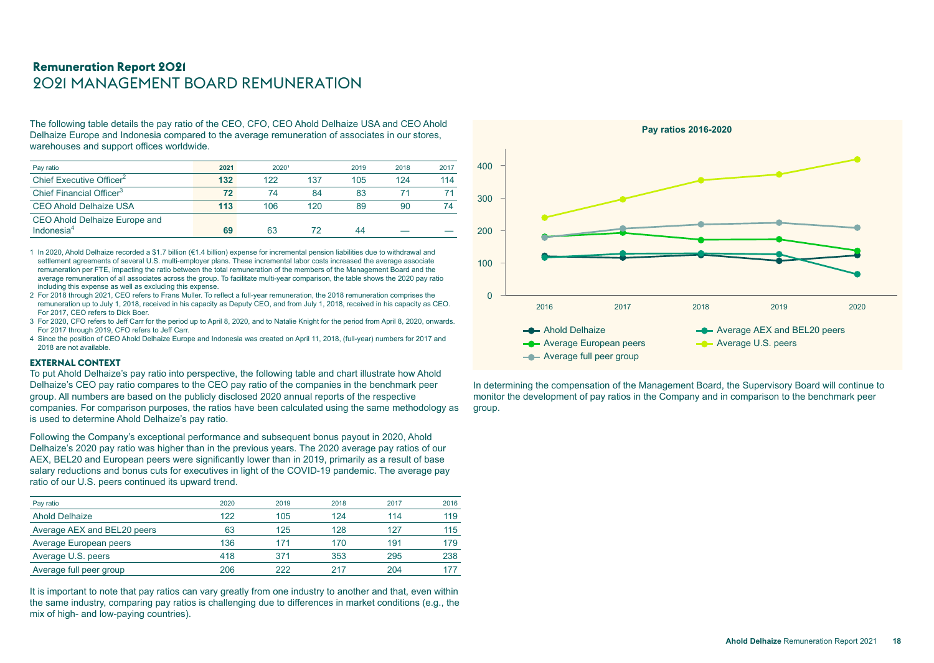The following table details the pay ratio of the CEO, CFO, CEO Ahold Delhaize USA and CEO Ahold Delhaize Europe and Indonesia compared to the average remuneration of associates in our stores, warehouses and support offices worldwide.

| Pay ratio                                      | 2021 | 2020 <sup>1</sup> |     | 2019 | 2018 | 2017 |
|------------------------------------------------|------|-------------------|-----|------|------|------|
| Chief Executive Officer <sup>2</sup>           | 132  | 122               | 137 | 105  | 124  | 114  |
| Chief Financial Officer <sup>3</sup>           | 72   | 74                | 84  | 83   |      |      |
| <b>CEO Ahold Delhaize USA</b>                  | 113  | 106               | 120 | 89   | 90   | 74   |
| CEO Ahold Delhaize Europe and<br>Indonesia $4$ | 69   | 63                |     | 44   |      |      |

1 In 2020, Ahold Delhaize recorded a \$1.7 billion (€1.4 billion) expense for incremental pension liabilities due to withdrawal and settlement agreements of several U.S. multi-employer plans. These incremental labor costs increased the average associate remuneration per FTE, impacting the ratio between the total remuneration of the members of the Management Board and the average remuneration of all associates across the group. To facilitate multi-year comparison, the table shows the 2020 pay ratio including this expense as well as excluding this expense.

- 2 For 2018 through 2021, CEO refers to Frans Muller. To reflect a full-year remuneration, the 2018 remuneration comprises the remuneration up to July 1, 2018, received in his capacity as Deputy CEO, and from July 1, 2018, received in his capacity as CEO. For 2017, CEO refers to Dick Boer.
- 3 For 2020, CFO refers to Jeff Carr for the period up to April 8, 2020, and to Natalie Knight for the period from April 8, 2020, onwards. For 2017 through 2019, CFO refers to Jeff Carr.
- 4 Since the position of CEO Ahold Delhaize Europe and Indonesia was created on April 11, 2018, (full-year) numbers for 2017 and 2018 are not available.

#### **EXTERNAL CONTEXT**

To put Ahold Delhaize's pay ratio into perspective, the following table and chart illustrate how Ahold Delhaize's CEO pay ratio compares to the CEO pay ratio of the companies in the benchmark peer group. All numbers are based on the publicly disclosed 2020 annual reports of the respective companies. For comparison purposes, the ratios have been calculated using the same methodology as is used to determine Ahold Delhaize's pay ratio.

Following the Company's exceptional performance and subsequent bonus payout in 2020, Ahold Delhaize's 2020 pay ratio was higher than in the previous years. The 2020 average pay ratios of our AEX, BEL20 and European peers were significantly lower than in 2019, primarily as a result of base salary reductions and bonus cuts for executives in light of the COVID-19 pandemic. The average pay ratio of our U.S. peers continued its upward trend.

| Pay ratio                   | 2020 | 2019 | 2018 | 2017 | 2016 |
|-----------------------------|------|------|------|------|------|
| <b>Ahold Delhaize</b>       | 122  | 105  | 124  | 114  | 119  |
| Average AEX and BEL20 peers | 63   | 125  | 128  | 127  | 115  |
| Average European peers      | 136  | 171  | 170  | 191  | 179  |
| Average U.S. peers          | 418  | 371  | 353  | 295  | 238  |
| Average full peer group     | 206  | 222  | 217  | 204  | 177  |

It is important to note that pay ratios can vary greatly from one industry to another and that, even within the same industry, comparing pay ratios is challenging due to differences in market conditions (e.g., the mix of high- and low-paying countries).



In determining the compensation of the Management Board, the Supervisory Board will continue to monitor the development of pay ratios in the Company and in comparison to the benchmark peer group.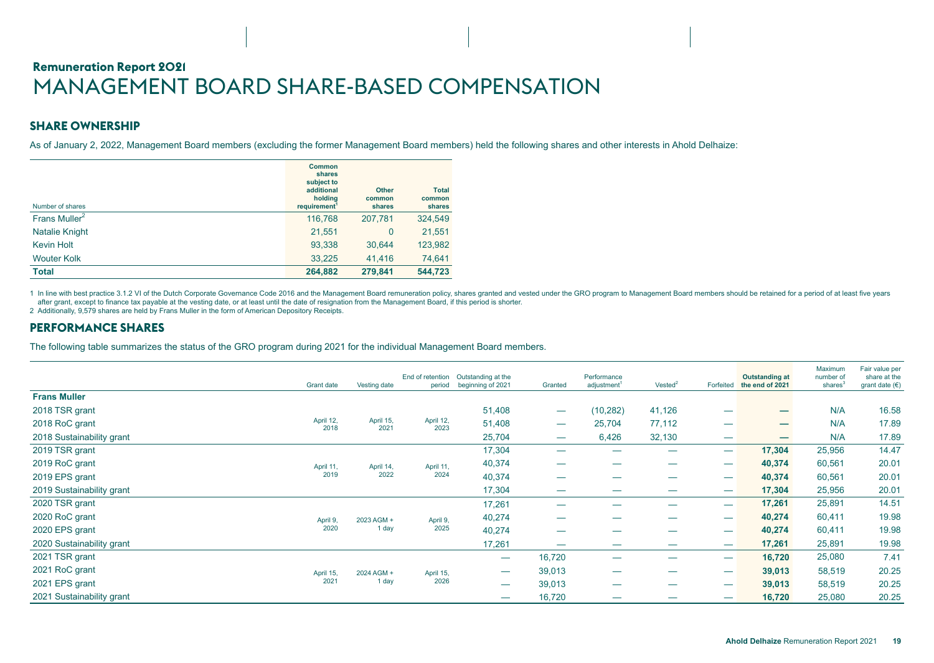# <span id="page-18-0"></span>**Remuneration Report 2021** MANAGEMENT BOARD SHARE-BASED COMPENSATION

# **SHARE OWNERSHIP**

As of January 2, 2022, Management Board members (excluding the former Management Board members) held the following shares and other interests in Ahold Delhaize:

| Number of shares   | Common<br>shares<br>subject to<br>additional<br>holdina<br>requirement <sup>1</sup> | <b>Other</b><br>common<br>shares | <b>Total</b><br>common<br>shares |
|--------------------|-------------------------------------------------------------------------------------|----------------------------------|----------------------------------|
| Frans Muller $2$   | 116,768                                                                             | 207,781                          | 324,549                          |
| Natalie Knight     | 21,551                                                                              | $\mathbf{0}$                     | 21,551                           |
| <b>Kevin Holt</b>  | 93,338                                                                              | 30.644                           | 123,982                          |
| <b>Wouter Kolk</b> | 33,225                                                                              | 41,416                           | 74,641                           |
| <b>Total</b>       | 264,882                                                                             | 279,841                          | 544,723                          |

1 In line with best practice 3.1.2 VI of the Dutch Corporate Governance Code 2016 and the Management Board remuneration policy, shares granted and vested under the GRO program to Management Board members should be retained after grant, except to finance tax payable at the vesting date, or at least until the date of resignation from the Management Board, if this period is shorter.

2 Additionally, 9,579 shares are held by Frans Muller in the form of American Depository Receipts.

#### **PERFORMANCE SHARES**

The following table summarizes the status of the GRO program during 2021 for the individual Management Board members.

|                           | Grant date        | Vesting date      | End of retention<br>period | Outstanding at the<br>beginning of 2021 | Granted                  | Performance<br>adjustment <sup>1</sup> | Vested <sup>2</sup>      | Forfeited | <b>Outstanding at</b><br>the end of 2021 | Maximum<br>number of<br>shares <sup>3</sup> | Fair value per<br>share at the<br>grant date $(€)$ |  |  |        |        |       |
|---------------------------|-------------------|-------------------|----------------------------|-----------------------------------------|--------------------------|----------------------------------------|--------------------------|-----------|------------------------------------------|---------------------------------------------|----------------------------------------------------|--|--|--------|--------|-------|
| <b>Frans Muller</b>       |                   |                   |                            |                                         |                          |                                        |                          |           |                                          |                                             |                                                    |  |  |        |        |       |
| 2018 TSR grant            |                   |                   |                            | 51,408                                  | $\overline{\phantom{m}}$ | (10, 282)                              | 41,126                   |           |                                          | N/A                                         | 16.58                                              |  |  |        |        |       |
| 2018 RoC grant            | April 12,<br>2018 | April 15,<br>2021 | April 12,<br>2023          | 51,408                                  | $\overline{\phantom{a}}$ | 25,704                                 | 77,112                   |           |                                          | N/A                                         | 17.89                                              |  |  |        |        |       |
| 2018 Sustainability grant |                   |                   |                            | 25,704                                  | $\overline{\phantom{a}}$ | 6,426                                  | 32,130                   |           |                                          | N/A                                         | 17.89                                              |  |  |        |        |       |
| 2019 TSR grant            |                   |                   |                            | 17,304                                  | $\overline{\phantom{a}}$ |                                        |                          |           | 17,304                                   | 25,956                                      | 14.47                                              |  |  |        |        |       |
| 2019 RoC grant            | April 11,         | April 14,         | April 11,                  | 40,374                                  |                          |                                        |                          |           | 40,374                                   | 60,561                                      | 20.01                                              |  |  |        |        |       |
| 2019 EPS grant            | 2019              | 2022              | 2024                       | 40,374                                  | $\overline{\phantom{0}}$ |                                        | 40,374                   | 60,561    | 20.01                                    |                                             |                                                    |  |  |        |        |       |
| 2019 Sustainability grant |                   |                   |                            | 17,304                                  |                          |                                        |                          |           | 17,304                                   | 25,956                                      | 20.01                                              |  |  |        |        |       |
| 2020 TSR grant            |                   |                   |                            | 17,261                                  |                          | __                                     | $\overline{\phantom{0}}$ |           | 17,261                                   | 25,891                                      | 14.51                                              |  |  |        |        |       |
| 2020 RoC grant            | April 9,          | 2023 AGM +        | April 9,                   | 40,274                                  |                          |                                        | _                        |           | 40,274                                   | 60,411                                      | 19.98                                              |  |  |        |        |       |
| 2020 EPS grant            | 2020              | 1 day             | 2025                       | 40,274                                  |                          |                                        |                          |           | 40,274                                   | 60,411                                      | 19.98                                              |  |  |        |        |       |
| 2020 Sustainability grant |                   |                   |                            | 17,261                                  |                          |                                        |                          |           | 17,261                                   | 25,891                                      | 19.98                                              |  |  |        |        |       |
| 2021 TSR grant            |                   |                   |                            | $\overline{\phantom{m}}$                | 16,720                   |                                        | $\overline{\phantom{a}}$ |           | 16,720                                   | 25,080                                      | 7.41                                               |  |  |        |        |       |
| 2021 RoC grant            | April 15,         | 2024 AGM +        | April 15,                  |                                         | 39,013                   |                                        |                          |           | 39,013                                   | 58,519                                      | 20.25                                              |  |  |        |        |       |
| 2021 EPS grant            | 2021              | 1 day             | 2026                       |                                         |                          |                                        |                          |           | $\overline{\phantom{a}}$                 | 39,013                                      |                                                    |  |  | 39,013 | 58,519 | 20.25 |
| 2021 Sustainability grant |                   |                   |                            | $\overline{\phantom{a}}$                | 16,720                   |                                        |                          |           | 16,720                                   | 25,080                                      | 20.25                                              |  |  |        |        |       |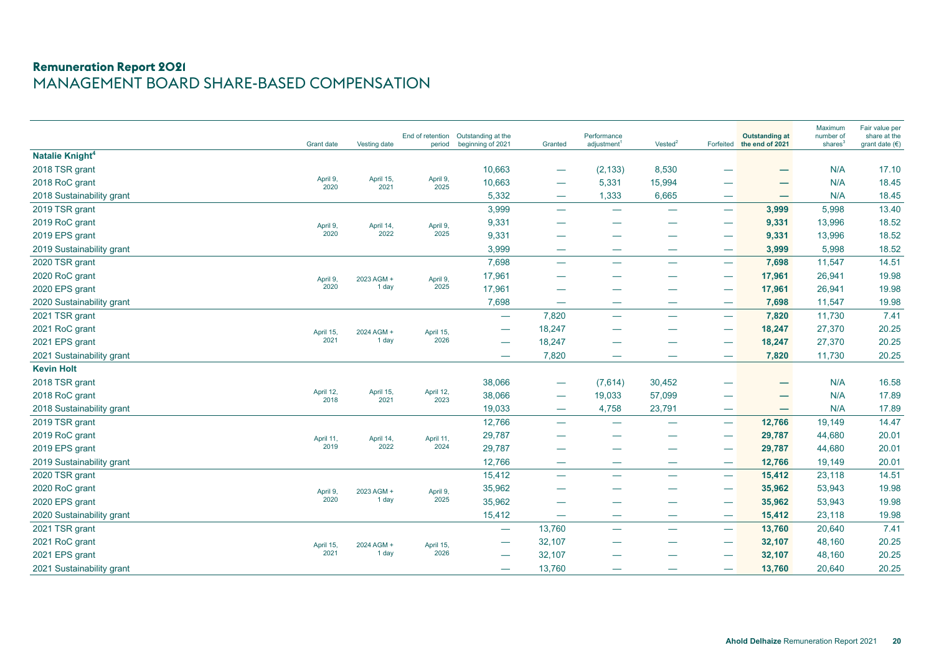# **Remuneration Report 2021** MANAGEMENT BOARD SHARE-BASED COMPENSATION

|                             | Grant date        | Vesting date      | End of retention<br>period | Outstanding at the<br>beginning of 2021 | Granted                           | Performance<br>adjustment <sup>1</sup> | Vested <sup>2</sup>      | Forfeited                       | <b>Outstanding at</b><br>the end of 2021 | Maximum<br>number of<br>shares <sup>3</sup> | Fair value per<br>share at the<br>grant date $(€)$ |
|-----------------------------|-------------------|-------------------|----------------------------|-----------------------------------------|-----------------------------------|----------------------------------------|--------------------------|---------------------------------|------------------------------------------|---------------------------------------------|----------------------------------------------------|
| Natalie Knight <sup>4</sup> |                   |                   |                            |                                         |                                   |                                        |                          |                                 |                                          |                                             |                                                    |
| 2018 TSR grant              |                   |                   |                            | 10,663                                  |                                   | (2, 133)                               | 8,530                    |                                 |                                          | N/A                                         | 17.10                                              |
| 2018 RoC grant              | April 9,<br>2020  | April 15,<br>2021 | April 9,<br>2025           | 10,663                                  |                                   | 5,331                                  | 15,994                   | --                              | $\overline{\phantom{0}}$                 | N/A                                         | 18.45                                              |
| 2018 Sustainability grant   |                   |                   |                            | 5,332                                   | $\hspace{0.05cm}$                 | 1,333                                  | 6,665                    | $\hspace{0.1mm}-\hspace{0.1mm}$ | $\overline{\phantom{0}}$                 | N/A                                         | 18.45                                              |
| 2019 TSR grant              |                   |                   |                            | 3,999                                   |                                   | —                                      |                          | -                               | 3,999                                    | 5,998                                       | 13.40                                              |
| 2019 RoC grant              | April 9,          | April 14,         | April 9,                   | 9,331                                   |                                   |                                        |                          |                                 | 9,331                                    | 13,996                                      | 18.52                                              |
| 2019 EPS grant              | 2020              | 2022              | 2025                       | 9,331                                   |                                   |                                        |                          |                                 | 9,331                                    | 13,996                                      | 18.52                                              |
| 2019 Sustainability grant   |                   |                   |                            | 3,999                                   |                                   |                                        |                          | $\overline{\phantom{0}}$        | 3,999                                    | 5,998                                       | 18.52                                              |
| 2020 TSR grant              |                   |                   |                            | 7,698                                   |                                   | $\overline{\phantom{0}}$               |                          |                                 | 7,698                                    | 11,547                                      | 14.51                                              |
| 2020 RoC grant              | April 9,          | 2023 AGM +        | April 9,                   | 17,961                                  |                                   |                                        |                          |                                 | 17,961                                   | 26,941                                      | 19.98                                              |
| 2020 EPS grant              | 2020              | 1 day             | 2025                       | 17,961                                  |                                   |                                        |                          |                                 | 17,961                                   | 26,941                                      | 19.98                                              |
| 2020 Sustainability grant   |                   |                   |                            | 7,698                                   | $\overline{\phantom{m}}$          |                                        |                          |                                 | 7,698                                    | 11,547                                      | 19.98                                              |
| 2021 TSR grant              |                   |                   |                            | $\overline{\phantom{a}}$                | 7,820                             |                                        |                          | $\overline{\phantom{0}}$        | 7,820                                    | 11,730                                      | 7.41                                               |
| 2021 RoC grant              | April 15,         | 2024 AGM +        | April 15,                  | $\overline{\phantom{m}}$                | 18,247                            |                                        |                          |                                 | 18,247                                   | 27,370                                      | 20.25                                              |
| 2021 EPS grant              | 2021              | 1 day             | 2026                       |                                         | 18,247                            |                                        |                          | -                               | 18,247                                   | 27,370                                      | 20.25                                              |
| 2021 Sustainability grant   |                   |                   |                            | $\hspace{0.05cm}$                       | 7,820                             |                                        |                          |                                 | 7,820                                    | 11,730                                      | 20.25                                              |
| <b>Kevin Holt</b>           |                   |                   |                            |                                         |                                   |                                        |                          |                                 |                                          |                                             |                                                    |
| 2018 TSR grant              |                   |                   |                            | 38,066                                  |                                   | (7,614)                                | 30,452                   |                                 | -                                        | N/A                                         | 16.58                                              |
| 2018 RoC grant              | April 12,<br>2018 | April 15,<br>2021 | April 12,<br>2023          | 38,066                                  |                                   | 19,033                                 | 57,099                   |                                 |                                          | N/A                                         | 17.89                                              |
| 2018 Sustainability grant   |                   |                   |                            | 19,033                                  | $\overbrace{\phantom{aaaaa}}$     | 4,758                                  | 23,791                   |                                 | $\overline{\phantom{0}}$                 | N/A                                         | 17.89                                              |
| 2019 TSR grant              |                   |                   |                            | 12,766                                  | $\overline{\phantom{0}}$          |                                        |                          | $\overline{\phantom{0}}$        | 12,766                                   | 19,149                                      | 14.47                                              |
| 2019 RoC grant              | April 11,         | April 14,         | April 11,                  | 29,787                                  |                                   |                                        |                          | $\overline{\phantom{0}}$        | 29,787                                   | 44,680                                      | 20.01                                              |
| 2019 EPS grant              | 2019              | 2022              | 2024                       | 29,787                                  |                                   |                                        |                          |                                 | 29,787                                   | 44,680                                      | 20.01                                              |
| 2019 Sustainability grant   |                   |                   |                            | 12,766                                  | $\overline{\phantom{0}}$          | $\hspace{0.05cm}$                      |                          |                                 | 12,766                                   | 19,149                                      | 20.01                                              |
| 2020 TSR grant              |                   |                   |                            | 15,412                                  | $\overline{\phantom{0}}$          |                                        |                          |                                 | 15,412                                   | 23,118                                      | 14.51                                              |
| 2020 RoC grant              | April 9,          | 2023 AGM +        | April 9,                   | 35,962                                  |                                   |                                        |                          | $\overline{\phantom{0}}$        | 35,962                                   | 53,943                                      | 19.98                                              |
| 2020 EPS grant              | 2020              | 1 day             | 2025                       | 35,962                                  |                                   | ۔۔۔۔                                   | --                       |                                 | 35,962                                   | 53,943                                      | 19.98                                              |
| 2020 Sustainability grant   |                   |                   |                            | 15,412                                  | $\overbrace{\phantom{aaaaa}}^{a}$ | $\overline{\phantom{0}}$               | $\overline{\phantom{0}}$ |                                 | 15,412                                   | 23,118                                      | 19.98                                              |
| 2021 TSR grant              |                   |                   |                            | $\overline{\phantom{m}}$                | 13,760                            |                                        |                          | $\overline{\phantom{0}}$        | 13,760                                   | 20,640                                      | 7.41                                               |
| 2021 RoC grant              | April 15,         | 2024 AGM +        | April 15,                  |                                         | 32,107                            |                                        |                          |                                 | 32,107                                   | 48,160                                      | 20.25                                              |
| 2021 EPS grant              | 2021              | 1 day             | 2026                       |                                         | 32,107                            |                                        |                          |                                 | 32,107                                   | 48,160                                      | 20.25                                              |
| 2021 Sustainability grant   |                   |                   |                            |                                         | 13,760                            |                                        |                          |                                 | 13,760                                   | 20,640                                      | 20.25                                              |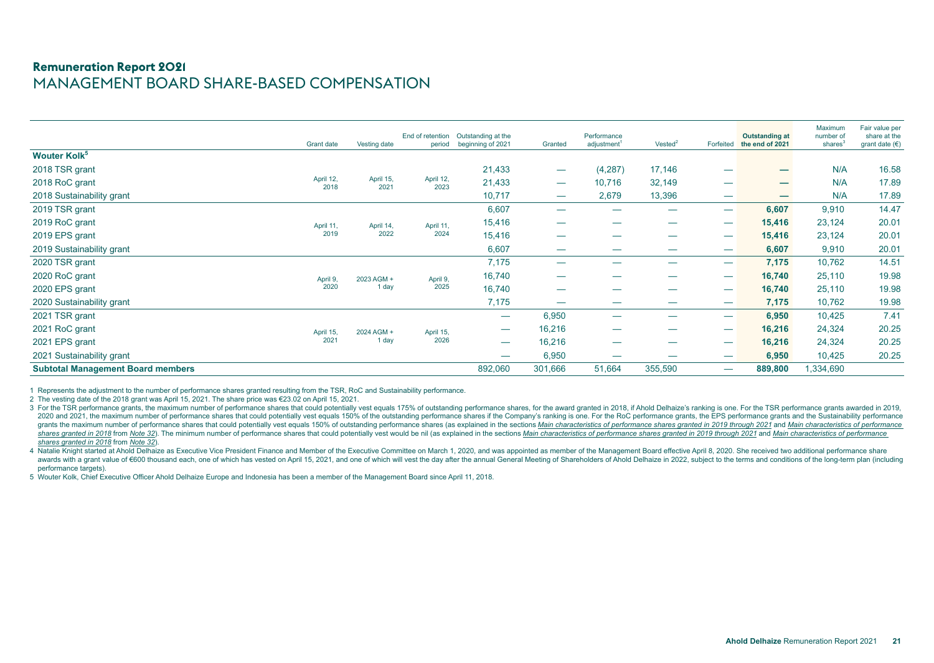# **Remuneration Report 2021** MANAGEMENT BOARD SHARE-BASED COMPENSATION

|                                          | <b>Grant date</b> | Vesting date      | End of retention<br>period | Outstanding at the<br>beginning of 2021 | Granted                  | Performance<br>adjustment <sup>1</sup> | Vested <sup>2</sup> | Forfeited | <b>Outstanding at</b><br>the end of 2021 | Maximum<br>number of<br>shares <sup>3</sup> | Fair value per<br>share at the<br>grant date $(\epsilon)$ |
|------------------------------------------|-------------------|-------------------|----------------------------|-----------------------------------------|--------------------------|----------------------------------------|---------------------|-----------|------------------------------------------|---------------------------------------------|-----------------------------------------------------------|
| <b>Wouter Kolk</b> <sup>5</sup>          |                   |                   |                            |                                         |                          |                                        |                     |           |                                          |                                             |                                                           |
| 2018 TSR grant                           |                   |                   |                            | 21,433                                  |                          | (4,287)                                | 17,146              |           | -                                        | N/A                                         | 16.58                                                     |
| 2018 RoC grant                           | April 12,<br>2018 | April 15,<br>2021 | April 12,<br>2023          | 21,433                                  |                          | 10,716                                 | 32,149              |           | $\overline{\phantom{0}}$                 | N/A                                         | 17.89                                                     |
| 2018 Sustainability grant                |                   |                   |                            | 10,717                                  |                          | 2,679                                  | 13,396              |           |                                          | N/A                                         | 17.89                                                     |
| 2019 TSR grant                           |                   |                   |                            | 6,607                                   |                          |                                        |                     |           | 6,607                                    | 9,910                                       | 14.47                                                     |
| 2019 RoC grant                           | April 11,         | April 14,         | April 11,                  | 15,416                                  |                          |                                        |                     |           | 15,416                                   | 23,124                                      | 20.01                                                     |
| 2019 EPS grant                           | 2019              | 2022              | 2024<br>15,416<br>-        | 15,416                                  | 23,124                   | 20.01                                  |                     |           |                                          |                                             |                                                           |
| 2019 Sustainability grant                |                   |                   |                            | 6,607                                   |                          |                                        | __                  |           | 6,607                                    | 9,910                                       | 20.01                                                     |
| 2020 TSR grant                           |                   |                   |                            | 7,175                                   |                          |                                        | __                  |           | 7,175                                    | 10,762                                      | 14.51                                                     |
| 2020 RoC grant                           | April 9,          | 2023 AGM +        | April 9,                   | 16,740                                  |                          |                                        |                     |           | 16,740                                   | 25,110                                      | 19.98                                                     |
| 2020 EPS grant                           | 2020              | 1 day             | 2025                       | 16,740                                  | $\overline{\phantom{0}}$ |                                        |                     |           | 16,740                                   | 25,110                                      | 19.98                                                     |
| 2020 Sustainability grant                |                   |                   |                            | 7,175                                   | $\overline{\phantom{0}}$ |                                        |                     |           | 7,175                                    | 10,762                                      | 19.98                                                     |
| 2021 TSR grant                           |                   |                   |                            |                                         | 6,950                    |                                        |                     |           | 6,950                                    | 10,425                                      | 7.41                                                      |
| 2021 RoC grant                           | April 15,         | 2024 AGM +        | April 15,                  |                                         | 16,216                   |                                        |                     |           | 16,216                                   | 24,324                                      | 20.25                                                     |
| 2021 EPS grant                           | 2021              | 1 day             | 2026                       |                                         | 16,216                   | $\overline{\phantom{0}}$               |                     |           | 16,216                                   | 24,324                                      | 20.25                                                     |
| 2021 Sustainability grant                |                   |                   |                            |                                         | 6,950                    |                                        |                     |           | 6,950                                    | 10,425                                      | 20.25                                                     |
| <b>Subtotal Management Board members</b> |                   |                   |                            | 892,060                                 | 301,666                  | 51,664                                 | 355,590             |           | 889,800                                  | 1,334,690                                   |                                                           |

1 Represents the adjustment to the number of performance shares granted resulting from the TSR, RoC and Sustainability performance.

2 The vesting date of the 2018 grant was April 15, 2021. The share price was €23.02 on April 15, 2021.

3 For the TSR performance grants, the maximum number of performance shares that could potentially vest equals 175% of outstanding performance shares, for the award granted in 2018, if Ahold Delhaize's ranking is one. For t 2020 and 2021, the maximum number of performance shares that could potentially vest equals 150% of the outstanding performance shares if the Company's ranking is one. For the RoC performance grants, the EPS performance gra grants the maximum number of performance shares that could potentially vest equals 150% of outstanding performance shares (as explained in the sections Main characteristics of performance shares granted in 2019 through 202 shares granted in 2018 from Note 32). The minimum number of performance shares that could potentially vest would be nil (as explained in the sections Main characteristics of performance shares granted in 2019 through 2021 *shares granted in 2018* from *Note 32*).

4 Natalie Knight started at Ahold Delhaize as Executive Vice President Finance and Member of the Executive Committee on March 1, 2020, and was appointed as member of the Management Board effective April 8, 2020. She receiv awards with a grant value of €600 thousand each, one of which has vested on April 15, 2021, and one of which will vest the day after the annual General Meeting of Shareholders of Ahold Delhaize in 2022, subject to the ter performance targets).

5 Wouter Kolk, Chief Executive Officer Ahold Delhaize Europe and Indonesia has been a member of the Management Board since April 11, 2018.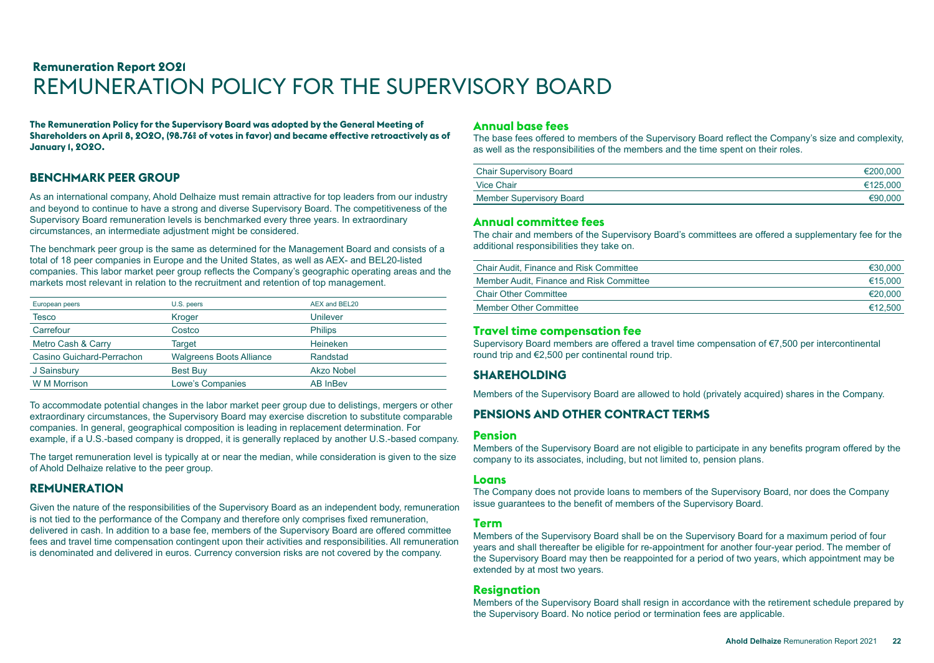# <span id="page-21-0"></span>**Remuneration Report 2021** REMUNERATION POLICY FOR THE SUPERVISORY BOARD

**The Remuneration Policy for the Supervisory Board was adopted by the General Meeting of Shareholders on April 8, 2020, (98.76% of votes in favor) and became effective retroactively as of January 1, 2020.**

# **BENCHMARK PEER GROUP**

As an international company, Ahold Delhaize must remain attractive for top leaders from our industry and beyond to continue to have a strong and diverse Supervisory Board. The competitiveness of the Supervisory Board remuneration levels is benchmarked every three years. In extraordinary circumstances, an intermediate adjustment might be considered.

The benchmark peer group is the same as determined for the Management Board and consists of a total of 18 peer companies in Europe and the United States, as well as AEX- and BEL20-listed companies. This labor market peer group reflects the Company's geographic operating areas and the markets most relevant in relation to the recruitment and retention of top management.

| European peers            | U.S. peers                      | AEX and BEL20     |
|---------------------------|---------------------------------|-------------------|
| Tesco                     | Kroger                          | Unilever          |
| Carrefour                 | Costco                          | <b>Philips</b>    |
| Metro Cash & Carry        | Target                          | Heineken          |
| Casino Guichard-Perrachon | <b>Walgreens Boots Alliance</b> | Randstad          |
| J Sainsbury               | <b>Best Buy</b>                 | <b>Akzo Nobel</b> |
| <b>W M Morrison</b>       | Lowe's Companies                | <b>AB InBev</b>   |

To accommodate potential changes in the labor market peer group due to delistings, mergers or other extraordinary circumstances, the Supervisory Board may exercise discretion to substitute comparable companies. In general, geographical composition is leading in replacement determination. For example, if a U.S.-based company is dropped, it is generally replaced by another U.S.-based company.

The target remuneration level is typically at or near the median, while consideration is given to the size of Ahold Delhaize relative to the peer group.

#### **REMUNERATION**

Given the nature of the responsibilities of the Supervisory Board as an independent body, remuneration is not tied to the performance of the Company and therefore only comprises fixed remuneration, delivered in cash. In addition to a base fee, members of the Supervisory Board are offered committee fees and travel time compensation contingent upon their activities and responsibilities. All remuneration is denominated and delivered in euros. Currency conversion risks are not covered by the company.

#### **Annual base fees**

The base fees offered to members of the Supervisory Board reflect the Company's size and complexity, as well as the responsibilities of the members and the time spent on their roles.

| <b>Chair Supervisory Board</b> | €200.000 |
|--------------------------------|----------|
| <b>Vice Chair</b>              | €125.000 |
| Member Supervisory Board       | €90.000  |

#### **Annual committee fees**

The chair and members of the Supervisory Board's committees are offered a supplementary fee for the additional responsibilities they take on.

| <b>Chair Audit, Finance and Risk Committee</b> | €30,000 |
|------------------------------------------------|---------|
| Member Audit, Finance and Risk Committee       | €15,000 |
| <b>Chair Other Committee</b>                   | €20.000 |
| Member Other Committee                         | €12.500 |

#### **Travel time compensation fee**

Supervisory Board members are offered a travel time compensation of €7,500 per intercontinental round trip and €2,500 per continental round trip.

## **SHAREHOLDING**

Members of the Supervisory Board are allowed to hold (privately acquired) shares in the Company.

## **PENSIONS AND OTHER CONTRACT TERMS**

#### **Pension**

Members of the Supervisory Board are not eligible to participate in any benefits program offered by the company to its associates, including, but not limited to, pension plans.

#### **Loans**

The Company does not provide loans to members of the Supervisory Board, nor does the Company issue guarantees to the benefit of members of the Supervisory Board.

#### **Term**

Members of the Supervisory Board shall be on the Supervisory Board for a maximum period of four years and shall thereafter be eligible for re-appointment for another four-year period. The member of the Supervisory Board may then be reappointed for a period of two years, which appointment may be extended by at most two years.

#### **Resignation**

Members of the Supervisory Board shall resign in accordance with the retirement schedule prepared by the Supervisory Board. No notice period or termination fees are applicable.